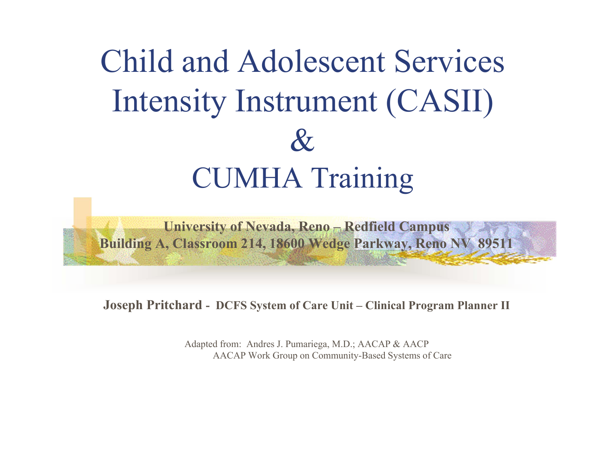# Child and Adolescent Services Intensity Instrument (CASII)  $\&$ CUMHA Training

**University of Nevada, Reno – Redfield Campus Building A, Classroom 214, 18600 Wedge Parkway, Reno NV 89511**

**Joseph Pritchard - DCFS System of Care Unit – Clinical Program Planner II**

Adapted from: Andres J. Pumariega, M.D.; AACAP & AACP AACAP Work Group on Community-Based Systems of Care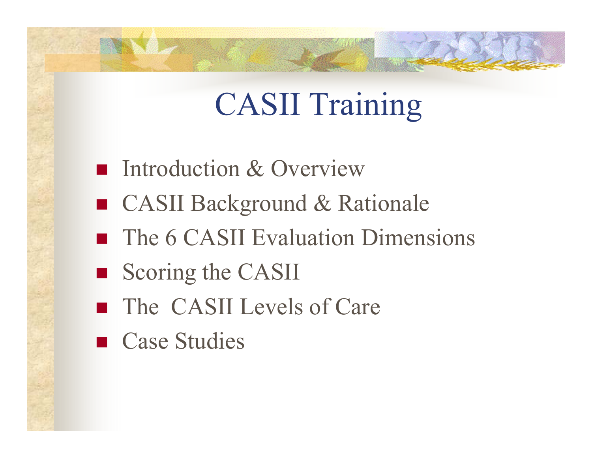# CASII Training

- **Introduction & Overview**
- CASII Background & Rationale
- **The 6 CASII Evaluation Dimensions**
- Scoring the CASII
- The CASII Levels of Care
- Case Studies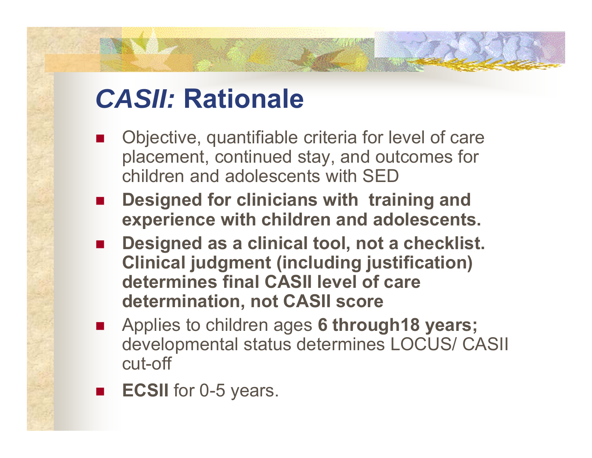### *CASII:* **Rationale**

- $\overline{\phantom{a}}$  Objective, quantifiable criteria for level of care placement, continued stay, and outcomes for children and adolescents with SED
- $\overline{\phantom{a}}$  **Designed for clinicians with training and experience with children and adolescents.**
- **Designed as a clinical tool, not a checklist. Clinical judgment (including justification) determines final CASII level of care determination, not CASII score**
- $\overline{\phantom{a}}$  Applies to children ages **6 through18 years;** developmental status determines LOCUS/ CASII cut-off
- $\overline{\phantom{a}}$ **ECSII** for 0-5 years.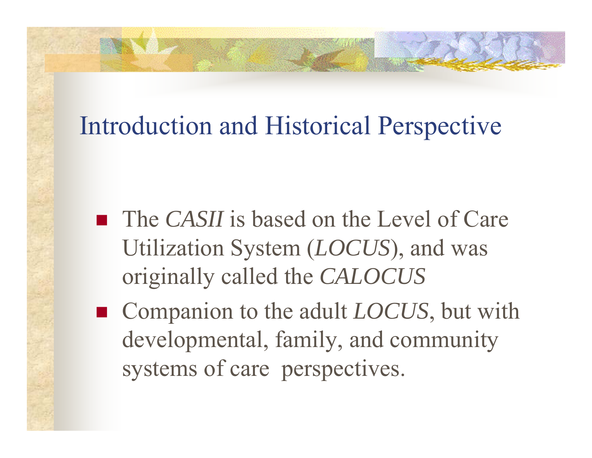### Introduction and Historical Perspective

- The *CASII* is based on the Level of Care Utilization System (*LOCUS*), and was originally called the *CALOCUS*
- Companion to the adult *LOCUS*, but with developmental, family, and community systems of care perspectives.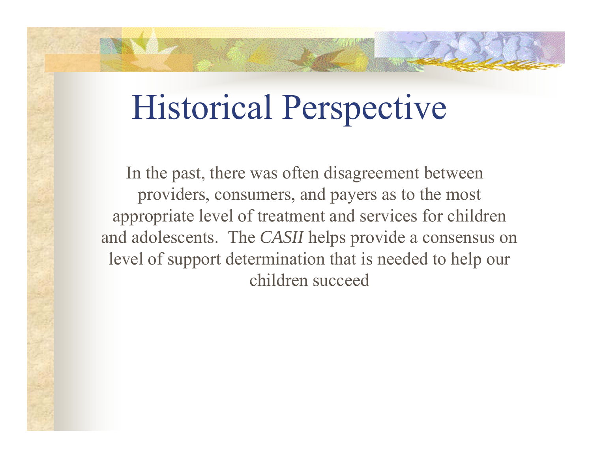# Historical Perspective

In the past, there was often disagreement between providers, consumers, and payers as to the most appropriate level of treatment and services for children and adolescents. The *CASII* helps provide a consensus on level of support determination that is needed to help our children succeed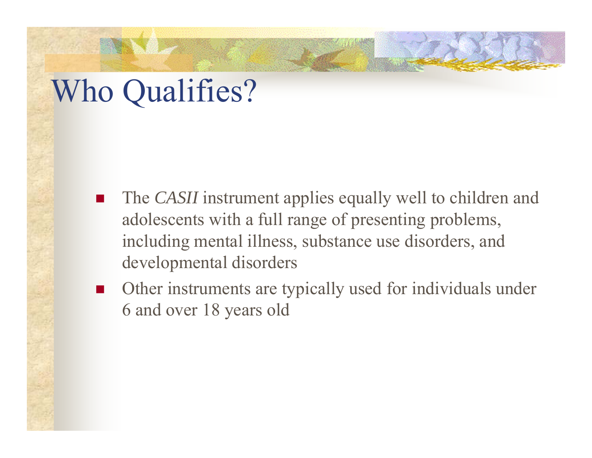## Who Qualifies?

- $\overline{\phantom{a}}$  The *CASII* instrument applies equally well to children and adolescents with a full range of presenting problems, including mental illness, substance use disorders, and developmental disorders
- $\mathcal{L}_{\rm{max}}$  Other instruments are typically used for individuals under 6 and over 18 years old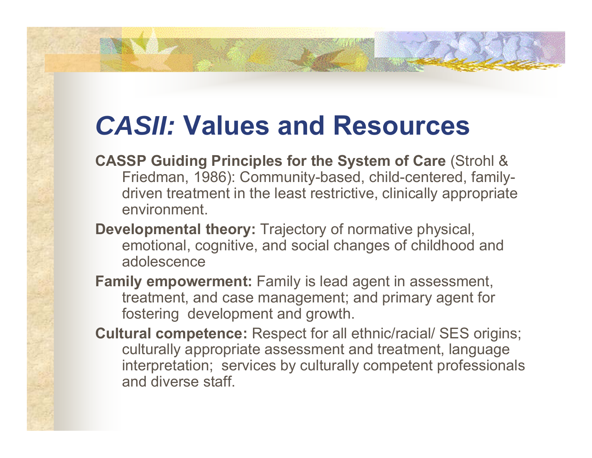### *CASII:* **Values and Resources**

- **CASSP Guiding Principles for the System of Care** (Strohl & Friedman, 1986): Community-based, child-centered, familydriven treatment in the least restrictive, clinically appropriate environment.
- **Developmental theory:** Trajectory of normative physical, emotional, cognitive, and social changes of childhood and adolescence
- **Family empowerment:** Family is lead agent in assessment, treatment, and case management; and primary agent for fostering development and growth.
- **Cultural competence:** Respect for all ethnic/racial/ SES origins; culturally appropriate assessment and treatment, language interpretation; services by culturally competent professionals and diverse staff.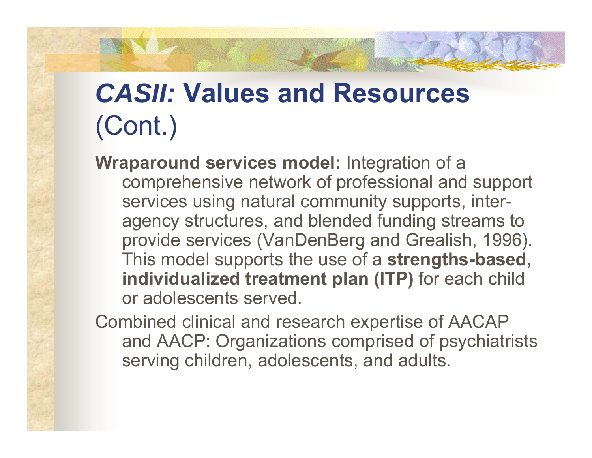## *CASII:* **Values and Resources**  (Cont.)

**Wraparound services model:** Integration of a comprehensive network of professional and support services using natural community supports, interagency structures, and blended funding streams to provide services (VanDenBerg and Grealish, 1996). This model supports the use of a **strengths-based, individualized treatment plan (ITP)** for each child or adolescents served.

Combined clinical and research expertise of AACAP and AACP: Organizations comprised of psychiatrists serving children, adolescents, and adults.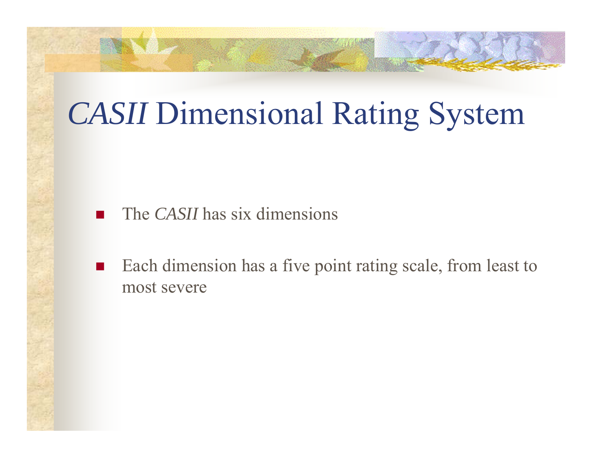# *CASII* Dimensional Rating System

- $\overline{\phantom{a}}$ The *CASII* has six dimensions
- $\mathcal{L}_{\rm{max}}$  Each dimension has a five point rating scale, from least to most severe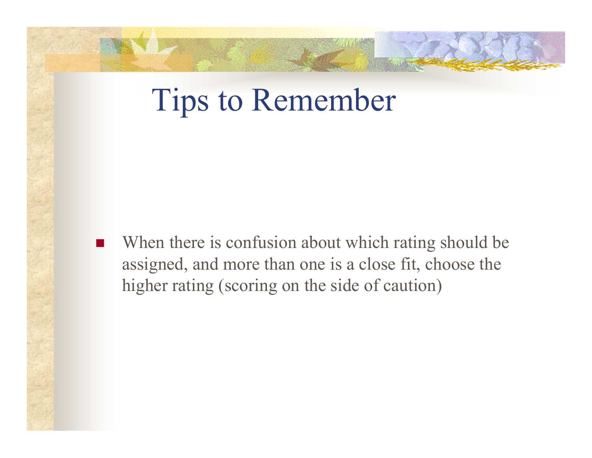## Tips to Remember

 $\overline{\phantom{a}}$  When there is confusion about which rating should be assigned, and more than one is a close fit, choose the higher rating (scoring on the side of caution)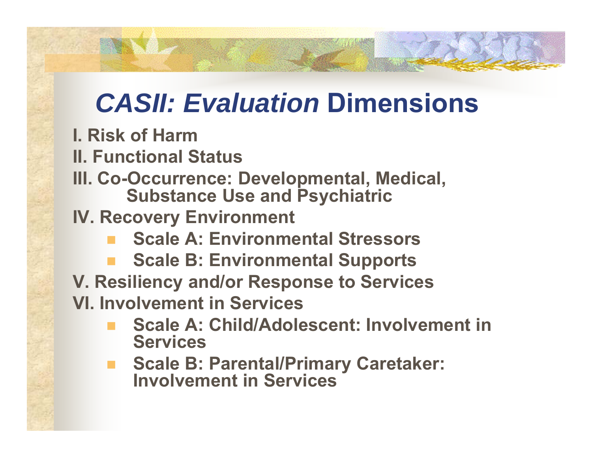## *CASII: Evaluation* **Dimensions**

**I. Risk of Harm**

**II. Functional Status**

- **III. Co-Occurrence: Developmental, Medical, Substance Use and Psychiatric**
- **IV. Recovery Environment**
	- **Scale A: Environmental Stressors**
	- **Scale B: Environmental Supports**
- **V. Resiliency and/or Response to Services**

**VI. Involvement in Services**

- **Scale A: Child/Adolescent: Involvement in Services**
- $\mathcal{L}^{\mathcal{L}}$  **Scale B: Parental/Primary Caretaker: Involvement in Services**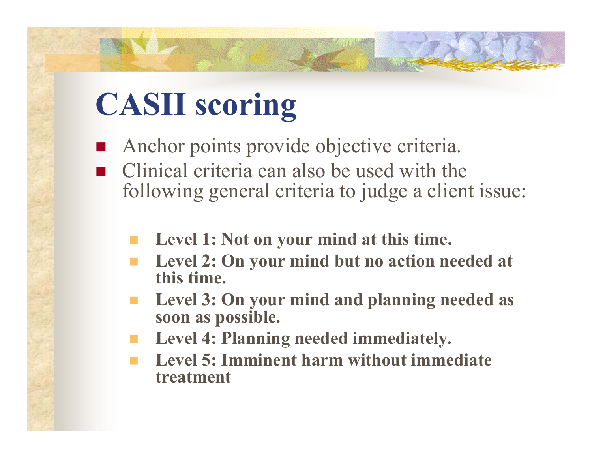# **CASII scoring**

- Anchor points provide objective criteria.
- Clinical criteria can also be used with the following general criteria to judge a client issue:
	- **Level 1: Not on your mind at this time.**
	- **Level 2: On your mind but no action needed at this time.**
	- **Level 3: On your mind and planning needed as soon as possible.**
	- **Level 4: Planning needed immediately.**
	- **Level 5: Imminent harm without immediate treatment**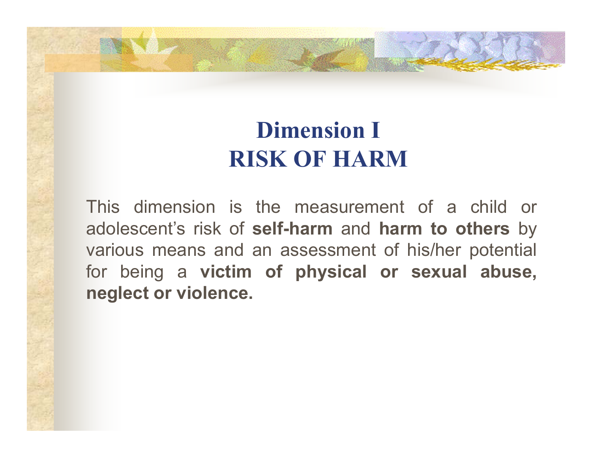#### **Dimension I RISK OF HARM**

This dimension is the measurement of a child or adolescent's risk of **self-harm** and **harm to others** by various means and an assessment of his/her potential for being <sup>a</sup> **victim of physical or sexual abuse, neglect or violence.**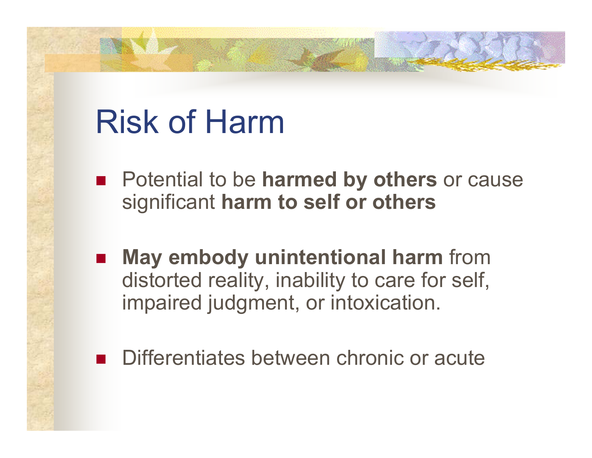# Risk of Harm

- **Potential to be harmed by others or cause** significant **harm to self or others**
- $\mathcal{L}(\mathcal{A})$  **May embody unintentional harm** from distorted reality, inability to care for self, impaired judgment, or intoxication.
- Differentiates between chronic or acute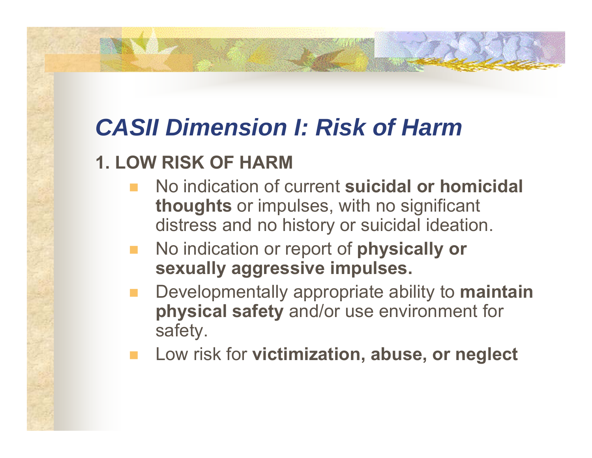### *CASII Dimension I: Risk of Harm*

#### **1. LOW RISK OF HARM**

- No indication of current **suicidal or homicidal thoughts** or impulses, with no significant distress and no history or suicidal ideation.
- No indication or report of **physically or sexually aggressive impulses.**
- Developmentally appropriate ability to **maintain physical safety** and/or use environment for safety.
- Low risk for **victimization, abuse, or neglect**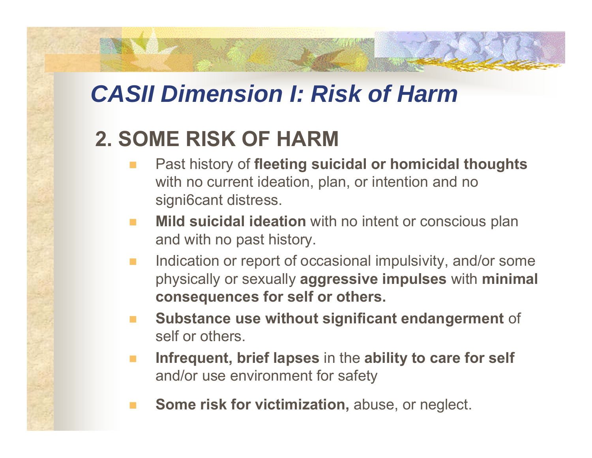#### *CASII Dimension I: Risk of Harm*

#### **2. SOME RISK OF HARM**

- Past history of **fleeting suicidal or homicidal thoughts** with no current ideation, plan, or intention and no signi6cant distress.
- **Mild suicidal ideation** with no intent or conscious plan and with no past history.
- **The State**  Indication or report of occasional impulsivity, and/or some physically or sexually **aggressive impulses** with **minimal consequences for self or others.**
- **Substance use without significant endangerment** of self or others.
- **Infrequent, brief lapses** in the **ability to care for self** and/or use environment for safety
- **Some risk for victimization,** abuse, or neglect.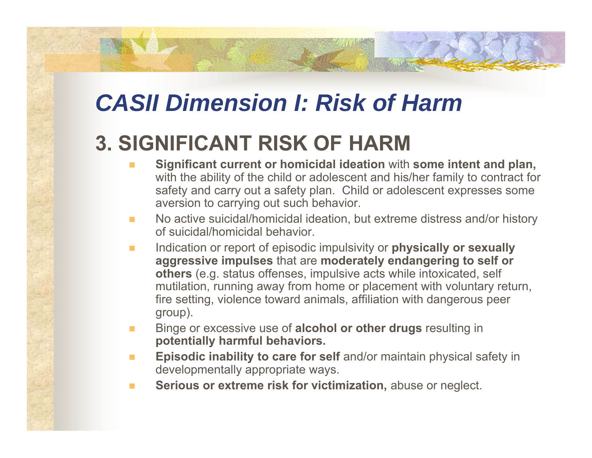### *CASII Dimension I: Risk of Harm*

#### **3. SIGNIFICANT RISK OF HARM**

- $\mathbf{r}$  **Significant current or homicidal ideation** with **some intent and plan,** with the ability of the child or adolescent and his/her family to contract for safety and carry out a safety plan. Child or adolescent expresses some aversion to carrying out such behavior.
- $\mathcal{L}_{\mathcal{A}}$  No active suicidal/homicidal ideation, but extreme distress and/or history of suicidal/homicidal behavior.
- $\mathcal{L}^{\mathcal{A}}$  Indication or report of episodic impulsivity or **physically or sexually aggressive impulses** that are **moderately endangering to self or others** (e.g. status offenses, impulsive acts while intoxicated, self mutilation, running away from home or placement with voluntary return, fire setting, violence toward animals, affiliation with dangerous peer group).
- $\mathcal{L}$  Binge or excessive use of **alcohol or other drugs** resulting in **potentially harmful behaviors.**
- $\mathcal{L}_{\mathcal{A}}$  **Episodic inability to care for self** and/or maintain physical safety in developmentally appropriate ways.
- **COL Serious or extreme risk for victimization,** abuse or neglect.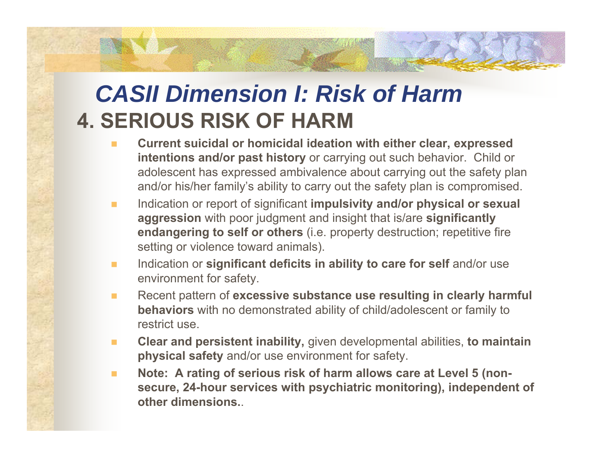#### *CASII Dimension I: Risk of Harm***4. SERIOUS RISK OF HARM**

- **Current suicidal or homicidal ideation with either clear, expressed intentions and/or past history** or carrying out such behavior. Child or adolescent has expressed ambivalence about carrying out the safety plan and/or his/her family's ability to carry out the safety plan is compromised.
- $\mathcal{L}_{\mathcal{A}}$  Indication or report of significant **impulsivity and/or physical or sexual aggression** with poor judgment and insight that is/are **significantly endangering to self or others** (i.e. property destruction; repetitive fire setting or violence toward animals).
- **The Second**  Indication or **significant deficits in ability to care for self** and/or use environment for safety.
- $\blacksquare$  Recent pattern of **excessive substance use resulting in clearly harmful behaviors** with no demonstrated ability of child/adolescent or family to restrict use.
- $\overline{\phantom{a}}$  **Clear and persistent inability,** given developmental abilities, **to maintain physical safety** and/or use environment for safety.
- $\blacksquare$  **Note: A rating of serious risk of harm allows care at Level 5 (nonsecure, 24-hour services with psychiatric monitoring), independent of other dimensions.**.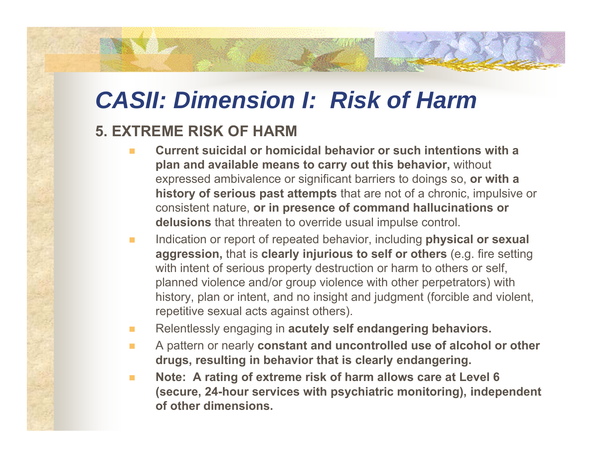### *CASII: Dimension I: Risk of Harm*

#### **5. EXTREME RISK OF HARM**

- $\mathbf{r}$  **Current suicidal or homicidal behavior or such intentions with a plan and available means to carry out this behavior,** without expressed ambivalence or significant barriers to doings so, **or with a history of serious past attempts** that are not of a chronic, impulsive or consistent nature, **or in presence of command hallucinations or delusions** that threaten to override usual impulse control.
- $\mathcal{L}_{\mathcal{A}}$  Indication or report of repeated behavior, including **physical or sexual aggression,** that is **clearly injurious to self or others** (e.g. fire setting with intent of serious property destruction or harm to others or self. planned violence and/or group violence with other perpetrators) with history, plan or intent, and no insight and judgment (forcible and violent, repetitive sexual acts against others).
- $\mathcal{L}_{\mathcal{A}}$ Relentlessly engaging in **acutely self endangering behaviors.**
- $\mathcal{L}_{\mathcal{A}}$  A pattern or nearly **constant and uncontrolled use of alcohol or other drugs, resulting in behavior that is clearly endangering.**
- $\mathcal{L}_{\mathcal{A}}$  **Note: A rating of extreme risk of harm allows care at Level 6 (secure, 24-hour services with psychiatric monitoring), independent of other dimensions.**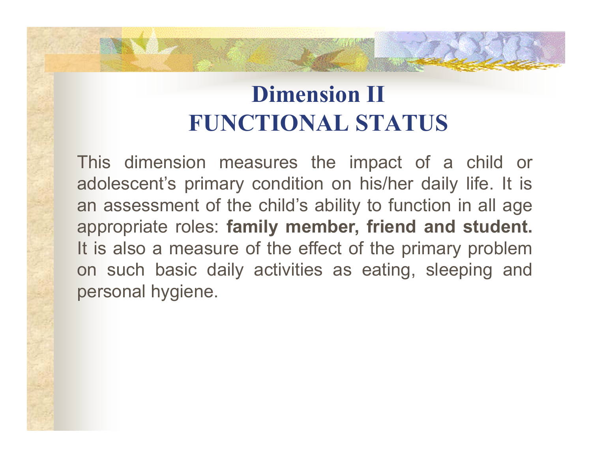#### **Dimension II FUNCTIONAL STATUS**

This dimension measures the impact of <sup>a</sup> child or adolescent's primary condition on his/her daily life. It is an assessment of the child's ability to function in all age appropriate roles: **family member, friend and student.** It is also <sup>a</sup> measure of the effect of the primary problem on such basic daily activities as eating, sleeping and personal hygiene.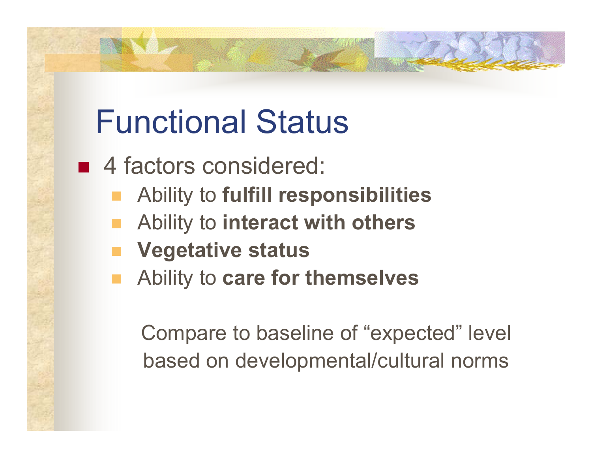# Functional Status

- 4 factors considered:
	- Ability to **fulfill responsibilities**
	- Ability to **interact with others**
	- **Vegetative status**
	- Ability to **care for themselves**

Compare to baseline of "expected" level based on developmental/cultural norms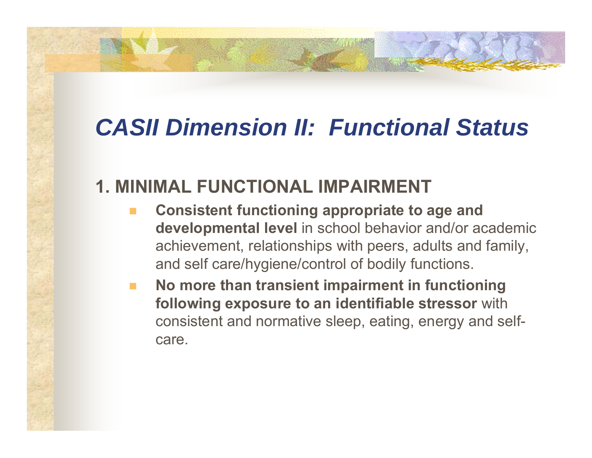#### **1. MINIMAL FUNCTIONAL IMPAIRMENT**

- **Consistent functioning appropriate to age and developmental level** in school behavior and/or academic achievement, relationships with peers, adults and family, and self care/hygiene/control of bodily functions.
- **No more than transient impairment in functioning following exposure to an identifiable stressor** with consistent and normative sleep, eating, energy and selfcare.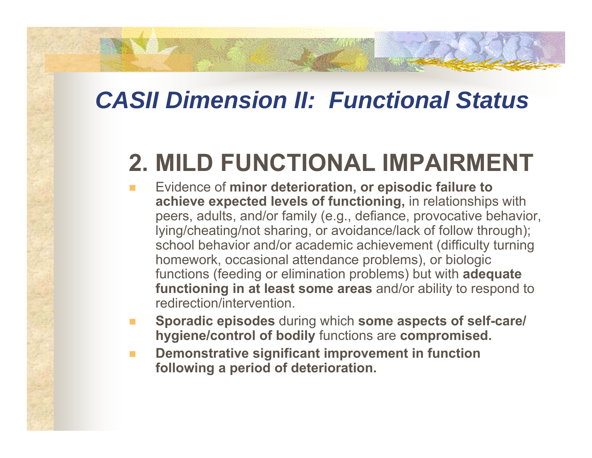### **2. MILD FUNCTIONAL IMPAIRMENT**

- Evidence of **minor deterioration, or episodic failure to achieve expected levels of functioning,** in relationships with peers, adults, and/or family (e.g., defiance, provocative behavior, lying/cheating/not sharing, or avoidance/lack of follow through); school behavior and/or academic achievement (difficulty turning homework, occasional attendance problems), or biologic functions (feeding or elimination problems) but with **adequate functioning in at least some areas** and/or ability to respond to redirection/intervention.
- **COL Sporadic episodes** during which **some aspects of self-care/ hygiene/control of bodily** functions are **compromised.**
- $\mathbf{r}$  **Demonstrative significant improvement in function following a period of deterioration.**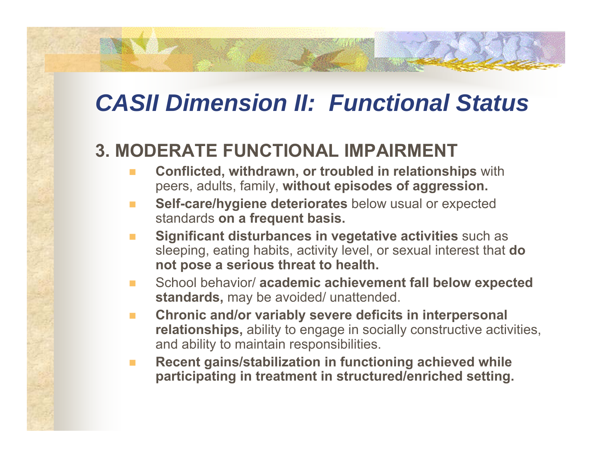#### **3. MODERATE FUNCTIONAL IMPAIRMENT**

- **Conflicted, withdrawn, or troubled in relationships** with peers, adults, family, **without episodes of aggression.**
- **Self-care/hygiene deteriorates** below usual or expected standards **on a frequent basis.**
- $\mathcal{L}^{\mathcal{A}}$  **Significant disturbances in vegetative activities** such as sleeping, eating habits, activity level, or sexual interest that **do not pose a serious threat to health.**
- School behavior/ **academic achievement fall below expected standards,** may be avoided/ unattended.
- $\mathcal{L}_{\mathcal{A}}$  **Chronic and/or variably severe deficits in interpersonal relationships,** ability to engage in socially constructive activities, and ability to maintain responsibilities.
- **COL Recent gains/stabilization in functioning achieved while participating in treatment in structured/enriched setting.**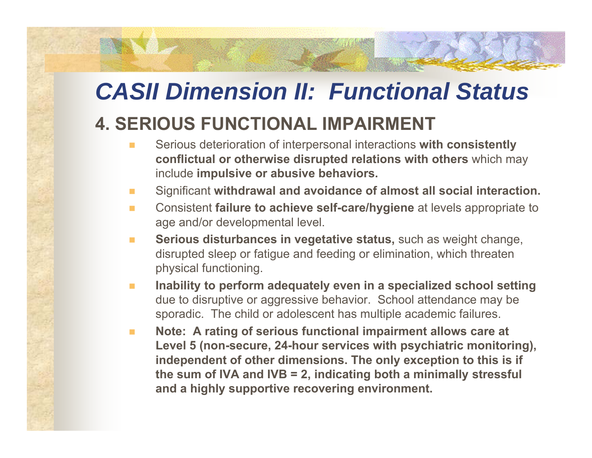#### **4. SERIOUS FUNCTIONAL IMPAIRMENT**

- $\mathbf{r}$  Serious deterioration of interpersonal interactions **with consistently conflictual or otherwise disrupted relations with others** which may include **impulsive or abusive behaviors.**
- **The Second** Significant **withdrawal and avoidance of almost all social interaction.**
- $\mathcal{L}^{\mathcal{L}}$  Consistent **failure to achieve self-care/hygiene** at levels appropriate to age and/or developmental level.
- **The Second Serious disturbances in vegetative status,** such as weight change, disrupted sleep or fatigue and feeding or elimination, which threaten physical functioning.
- $\mathcal{L}_{\mathcal{A}}$  **Inability to perform adequately even in a specialized school setting** due to disruptive or aggressive behavior. School attendance may be sporadic. The child or adolescent has multiple academic failures.
- $\mathcal{L}_{\mathcal{A}}$  **Note: A rating of serious functional impairment allows care at Level 5 (non-secure, 24-hour services with psychiatric monitoring), independent of other dimensions. The only exception to this is if the sum of IVA and IVB = 2, indicating both a minimally stressful and a highly supportive recovering environment.**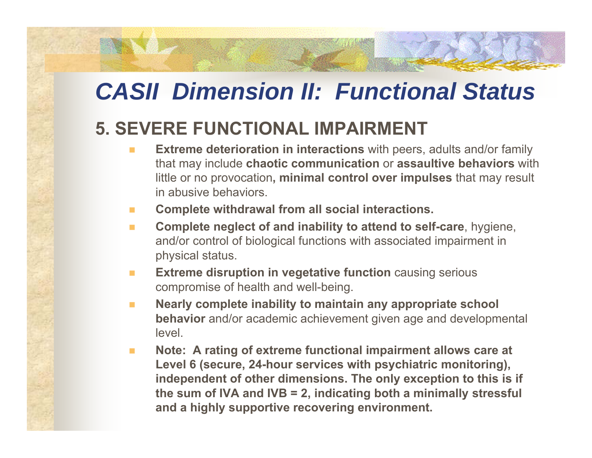#### **5. SEVERE FUNCTIONAL IMPAIRMENT**

- $\overline{\phantom{a}}$  **Extreme deterioration in interactions** with peers, adults and/or family that may include **chaotic communication** or **assaultive behaviors** with little or no provocation**, minimal control over impulses** that may result in abusive behaviors.
- $\mathbf{r}$ **Complete withdrawal from all social interactions.**
- $\Box$  **Complete neglect of and inability to attend to self-care**, hygiene, and/or control of biological functions with associated impairment in physical status.
- $\mathcal{L}_{\mathcal{A}}$  **Extreme disruption in vegetative function** causing serious compromise of health and well-being.
- $\mathcal{L}^{\mathcal{L}}$  **Nearly complete inability to maintain any appropriate school behavior** and/or academic achievement given age and developmental level.
- $\mathcal{L}_{\mathcal{A}}$  **Note: A rating of extreme functional impairment allows care at Level 6 (secure, 24-hour services with psychiatric monitoring), independent of other dimensions. The only exception to this is if the sum of IVA and IVB = 2, indicating both a minimally stressful and a highly supportive recovering environment.**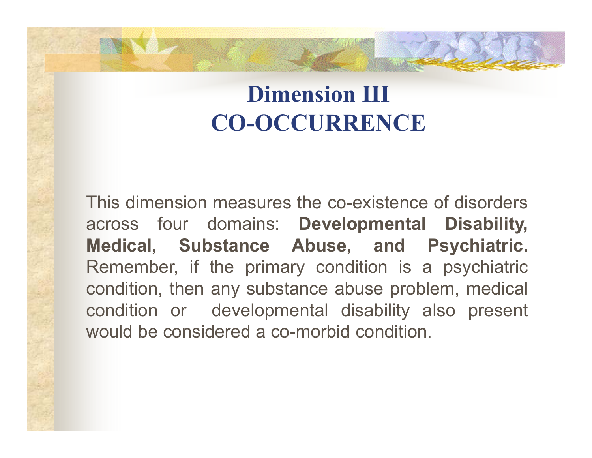#### **Dimension III CO-OCCURRENCE**

This dimension measures the co-existence of disorders across four domains: **Developmental Disability, Medical, Substance Abuse, and Psychiatric.** Remember, if the primary condition is <sup>a</sup> psychiatric condition, then any substance abuse problem, medical condition or developmental disability also present would be considered a co-morbid condition.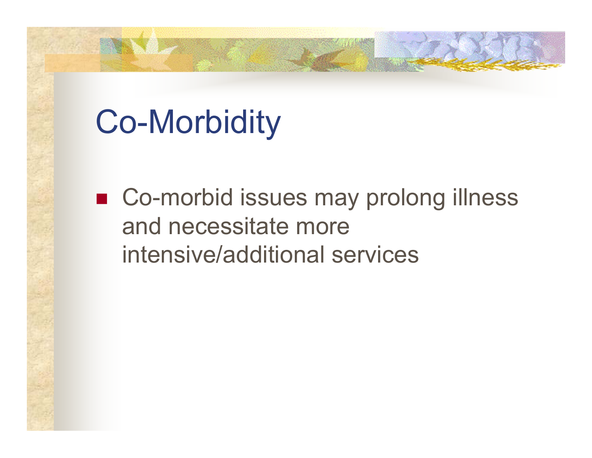# Co-Morbidity

■ Co-morbid issues may prolong illness and necessitate more intensive/additional services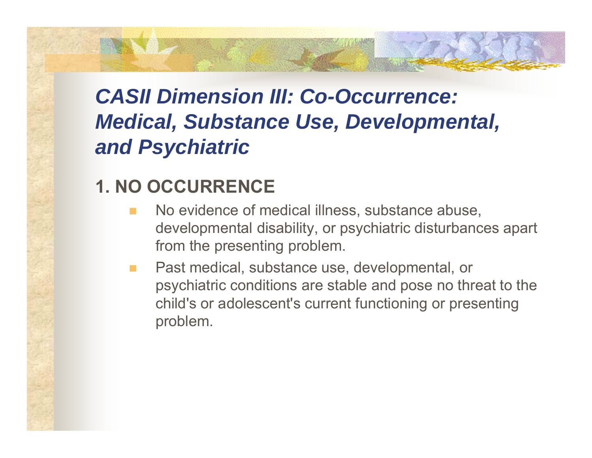#### *CASII Dimension III: Co-Occurrence: Medical, Substance Use, Developmental, and Psychiatric*

#### **1. NO OCCURRENCE**

- No evidence of medical illness, substance abuse, developmental disability, or psychiatric disturbances apart from the presenting problem.
- Past medical, substance use, developmental, or psychiatric conditions are stable and pose no threat to the child's or adolescent's current functioning or presenting problem.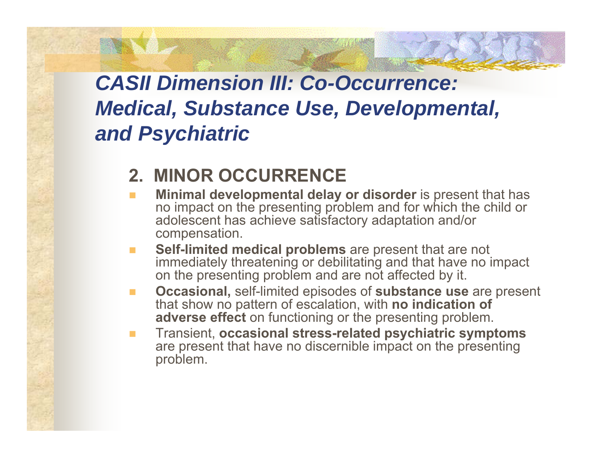#### *CASII Dimension III: Co-Occurrence: Medical, Substance Use, Developmental, and Psychiatric*

#### **2. MINOR OCCURRENCE**

- **COL Minimal developmental delay or disorder** is present that has no impact on the presenting problem and for which the child or adolescent has achieve satisfactory adaptation and/or compensation.
- **Self-limited medical problems** are present that are not immediately threatening or debilitating and that have no impact on the presenting problem and are not affected by it.
- $\blacksquare$  **Occasional,** self-limited episodes of **substance use** are present that show no pattern of escalation, with **no indication of adverse effect** on functioning or the presenting problem.
- $\blacksquare$  Transient, **occasional stress-related psychiatric symptoms** are present that have no discernible impact on the presenting problem.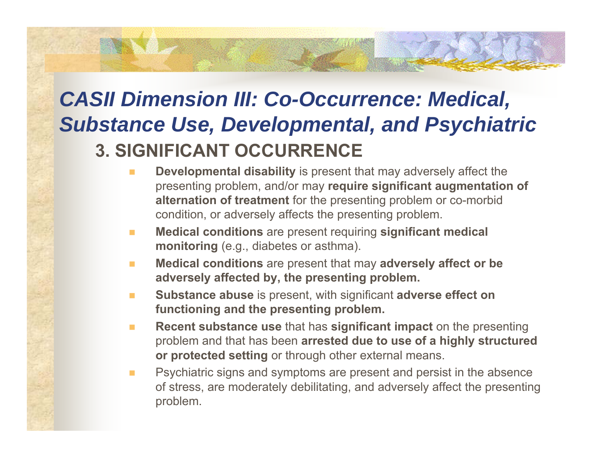#### *CASII Dimension III: Co-Occurrence: Medical, Substance Use, Developmental, and Psychiatric* **3. SIGNIFICANT OCCURRENCE**

- $\blacksquare$  **Developmental disability** is present that may adversely affect the presenting problem, and/or may **require significant augmentation of alternation of treatment** for the presenting problem or co-morbid condition, or adversely affects the presenting problem.
- $\mathcal{L}^{\mathcal{L}}$  **Medical conditions** are present requiring **significant medical monitoring** (e.g., diabetes or asthma).
- $\mathcal{L}_{\mathcal{A}}$  **Medical conditions** are present that may **adversely affect or be adversely affected by, the presenting problem.**
- $\mathcal{L}_{\mathcal{A}}$  **Substance abuse** is present, with significant **adverse effect on functioning and the presenting problem.**
- $\mathcal{L}_{\mathcal{A}}$  **Recent substance use** that has **significant impact** on the presenting problem and that has been **arrested due to use of a highly structured or protected setting** or through other external means.
- $\mathbf{r}$  Psychiatric signs and symptoms are present and persist in the absence of stress, are moderately debilitating, and adversely affect the presenting problem.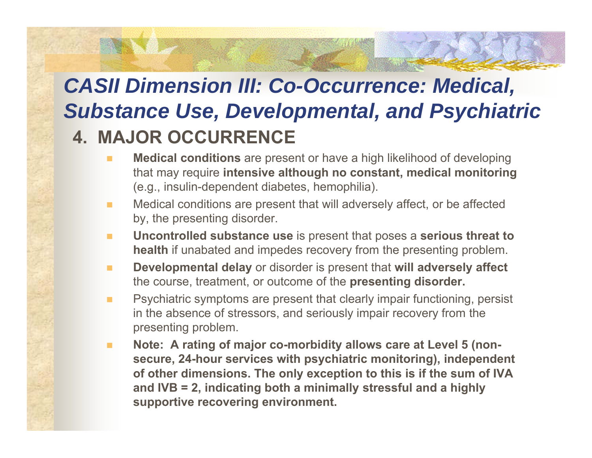#### *CASII Dimension III: Co-Occurrence: Medical, Substance Use, Developmental, and Psychiatric* **4. MAJOR OCCURRENCE**

- $\overline{\phantom{a}}$  **Medical conditions** are present or have a high likelihood of developing that may require **intensive although no constant, medical monitoring** (e.g., insulin-dependent diabetes, hemophilia).
- $\mathbf{r}$  Medical conditions are present that will adversely affect, or be affected by, the presenting disorder.
- $\blacksquare$  **Uncontrolled substance use** is present that poses a **serious threat to health** if unabated and impedes recovery from the presenting problem.
- $\mathbf{r}$  **Developmental delay** or disorder is present that **will adversely affect** the course, treatment, or outcome of the **presenting disorder.**
- $\overline{\phantom{a}}$  Psychiatric symptoms are present that clearly impair functioning, persist in the absence of stressors, and seriously impair recovery from the presenting problem.
- $\overline{\phantom{a}}$  **Note: A rating of major co-morbidity allows care at Level 5 (nonsecure, 24-hour services with psychiatric monitoring), independent of other dimensions. The only exception to this is if the sum of IVA and IVB = 2, indicating both a minimally stressful and a highly supportive recovering environment.**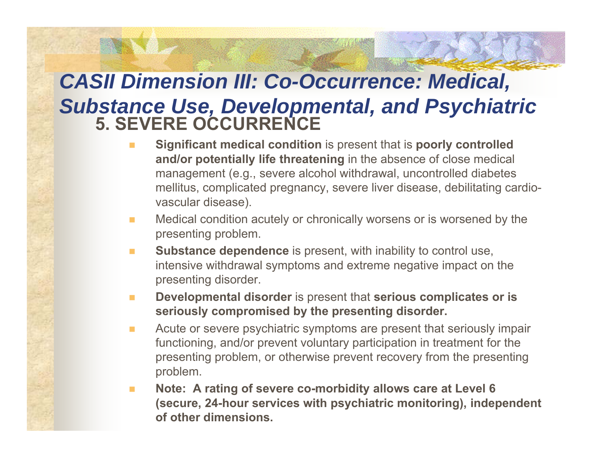## *CASII Dimension III: Co-Occurrence: Medical, Substance Use, Developmental, and Psychiatric* **5. SEVERE OCCURRENCE**

- **Significant medical condition** is present that is **poorly controlled and/or potentially life threatening** in the absence of close medical management (e.g., severe alcohol withdrawal, uncontrolled diabetes mellitus, complicated pregnancy, severe liver disease, debilitating cardiovascular disease).
- $\mathcal{L}_{\mathcal{A}}$  Medical condition acutely or chronically worsens or is worsened by the presenting problem.
- $\mathbf{r}$  **Substance dependence** is present, with inability to control use, intensive withdrawal symptoms and extreme negative impact on the presenting disorder.
- $\mathcal{L}_{\mathcal{A}}$  **Developmental disorder** is present that **serious complicates or is seriously compromised by the presenting disorder.**
- $\mathcal{L}_{\mathcal{A}}$  Acute or severe psychiatric symptoms are present that seriously impair functioning, and/or prevent voluntary participation in treatment for the presenting problem, or otherwise prevent recovery from the presenting problem.
- $\blacksquare$  **Note: A rating of severe co-morbidity allows care at Level 6 (secure, 24-hour services with psychiatric monitoring), independent of other dimensions.**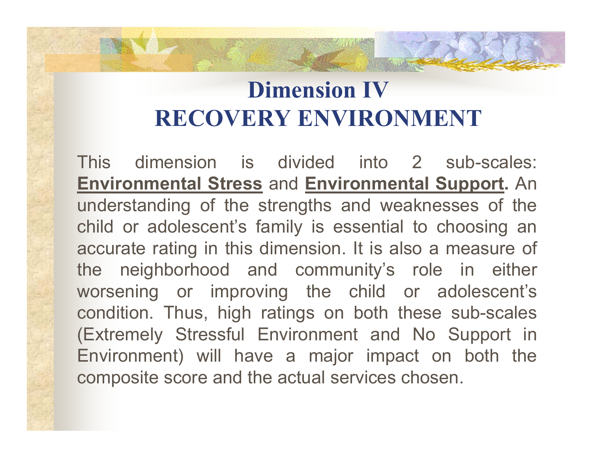#### **Dimension IVRECOVERY ENVIRONMENT**

This dimension is divided into 2 sub-scales: **Environmental Stress** and **Environmental Support.** An understanding of the strengths and weaknesses of the child or adolescent's family is essential to choosing an accurate rating in this dimension. It is also <sup>a</sup> measure of the neighborhood and community's role in either worsening or improving the child or adolescent's condition. Thus, high ratings on both these sub-scales (Extremely Stressful Environment and No Support in Environment) will have <sup>a</sup> major impact on both the composite score and the actual services chosen.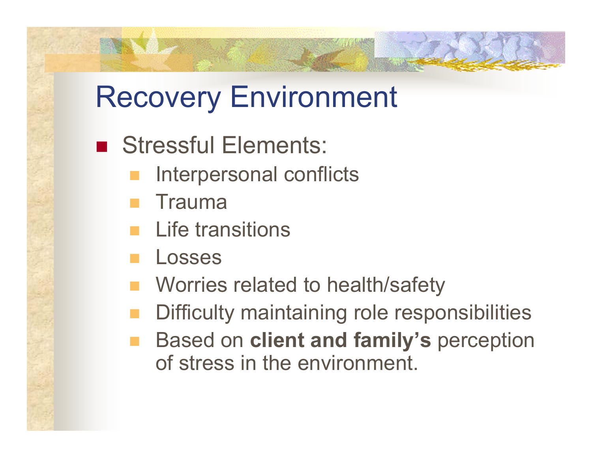## Recovery Environment

- Stressful Elements:
	- Interpersonal conflicts
	- Trauma
	- Life transitions
	- Losses
	- Worries related to health/safety
	- Difficulty maintaining role responsibilities
	- Based on **client and family's** perception of stress in the environment.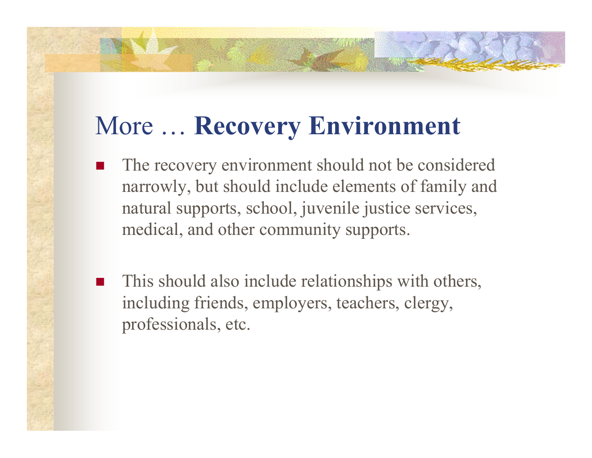### More … **Recovery Environment**

- П The recovery environment should not be considered narrowly, but should include elements of family and natural supports, school, juvenile justice services, medical, and other community supports.
- $\overline{\phantom{a}}$  This should also include relationships with others, including friends, employers, teachers, clergy, professionals, etc.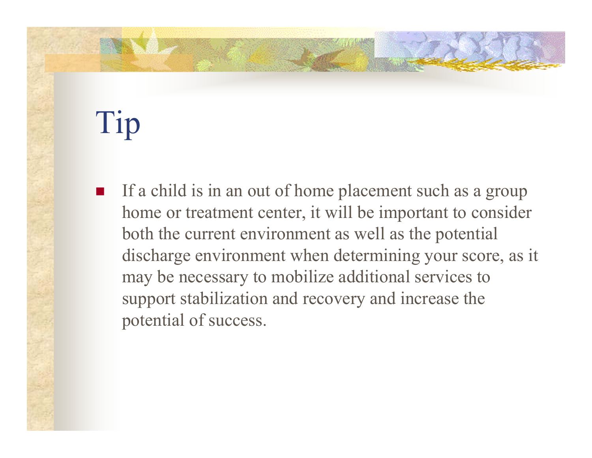# Tip

 $\overline{\phantom{a}}$  If a child is in an out of home placement such as a group home or treatment center, it will be important to consider both the current environment as well as the potential discharge environment when determining your score, as it may be necessary to mobilize additional services to support stabilization and recovery and increase the potential of success.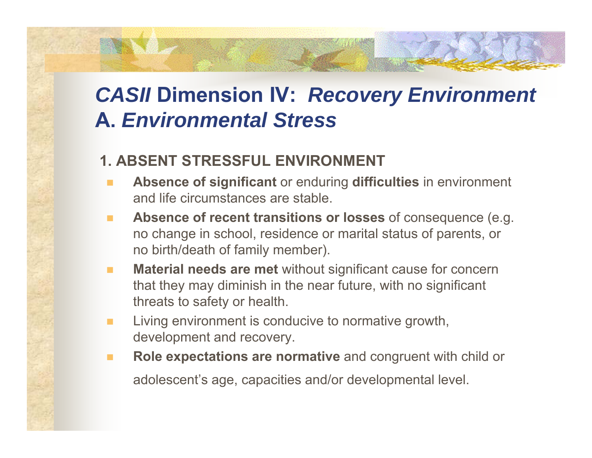#### **1. ABSENT STRESSFUL ENVIRONMENT**

- п **Absence of significant** or enduring **difficulties** in environment and life circumstances are stable.
- ٠ **Absence of recent transitions or losses** of consequence (e.g. no change in school, residence or marital status of parents, or no birth/death of family member).
- п **Material needs are met** without significant cause for concern that they may diminish in the near future, with no significant threats to safety or health.
- п Living environment is conducive to normative growth, development and recovery.
- **COL Role expectations are normative** and congruent with child or

adolescent's age, capacities and/or developmental level.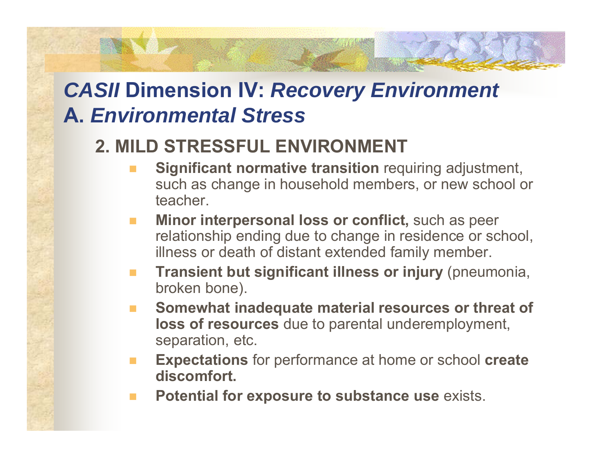#### **2. MILD STRESSFUL ENVIRONMENT**

- **Significant normative transition** requiring adjustment, such as change in household members, or new school or teacher.
- $\mathbb{R}^n$  **Minor interpersonal loss or conflict,** such as peer relationship ending due to change in residence or school, illness or death of distant extended family member.
- **The Second Transient but significant illness or injury** (pneumonia, broken bone).
- **Somewhat inadequate material resources or threat of loss of resources** due to parental underemployment, separation, etc.
- **Expectations** for performance at home or school **create discomfort.**
- **Potential for exposure to substance use** exists.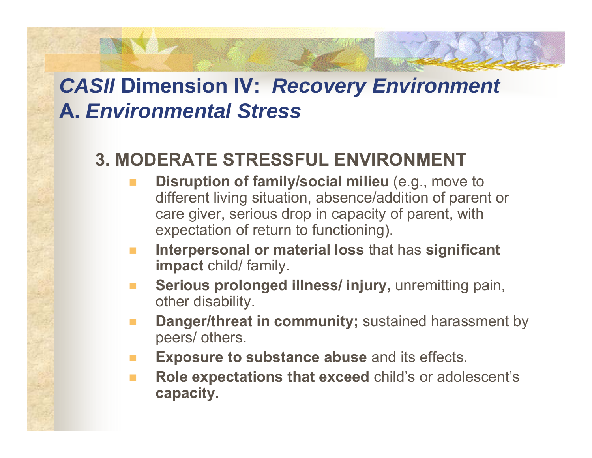#### **3. MODERATE STRESSFUL ENVIRONMENT**

- **Disruption of family/social milieu** (e.g., move to different living situation, absence/addition of parent or care giver, serious drop in capacity of parent, with expectation of return to functioning).
- **Interpersonal or material loss** that has **significant impact** child/ family.
- **Serious prolonged illness/ injury,** unremitting pain, other disability.
- **Danger/threat in community;** sustained harassment by peers/ others.
- **The State Exposure to substance abuse** and its effects.
- $\mathcal{L}_{\mathcal{A}}$  **Role expectations that exceed** child's or adolescent's **capacity.**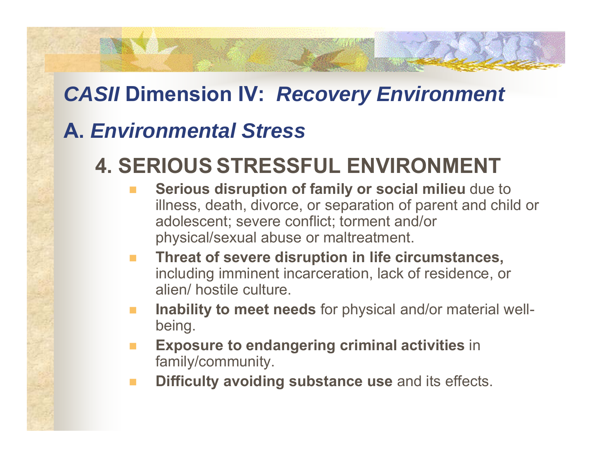## *CASII* **Dimension IV:** *Recovery Environment*

### **A.** *Environmental Stress*

## **4. SERIOUS STRESSFUL ENVIRONMENT**

- **Serious disruption of family or social milieu** due to illness, death, divorce, or separation of parent and child or adolescent; severe conflict; torment and/or physical/sexual abuse or maltreatment.
- **The State Threat of severe disruption in life circumstances,** including imminent incarceration, lack of residence, or alien/ hostile culture.
- **Inability to meet needs** for physical and/or material wellbeing.
- **Exposure to endangering criminal activities** in family/community.
- **Difficulty avoiding substance use** and its effects.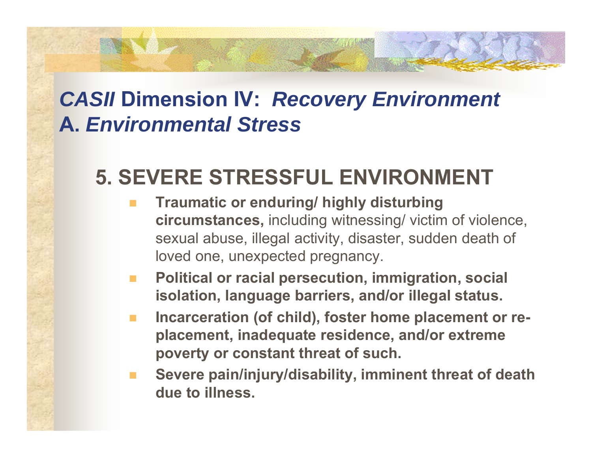## **5. SEVERE STRESSFUL ENVIRONMENT**

- **Traumatic or enduring/ highly disturbing circumstances,** including witnessing/ victim of violence, sexual abuse, illegal activity, disaster, sudden death of loved one, unexpected pregnancy.
- **Political or racial persecution, immigration, social isolation, language barriers, and/or illegal status.**
- **Incarceration (of child), foster home placement or replacement, inadequate residence, and/or extreme poverty or constant threat of such.**
- **Severe pain/injury/disability, imminent threat of death due to illness.**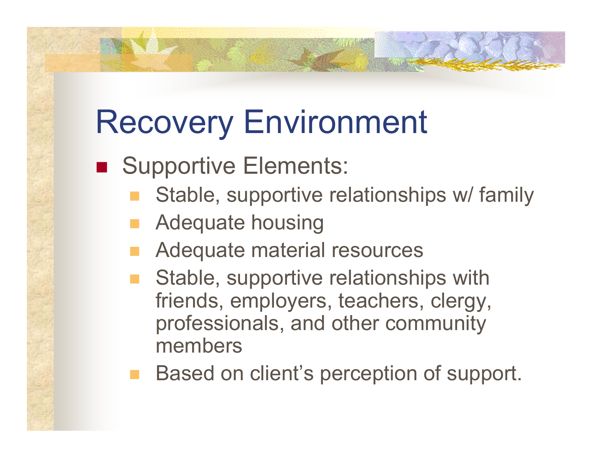# Recovery Environment

- **Bupportive Elements:** 
	- Stable, supportive relationships w/ family
	- Adequate housing
	- Adequate material resources
	- Stable, supportive relationships with friends, employers, teachers, clergy, professionals, and other community members
	- Based on client's perception of support.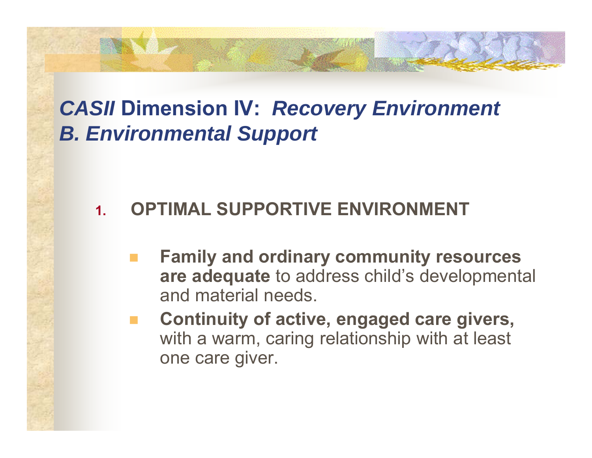#### **1.OPTIMAL SUPPORTIVE ENVIRONMENT**

- **Family and ordinary community resources are adequate** to address child's developmental and material needs.
- **Continuity of active, engaged care givers,** with a warm, caring relationship with at least one care giver.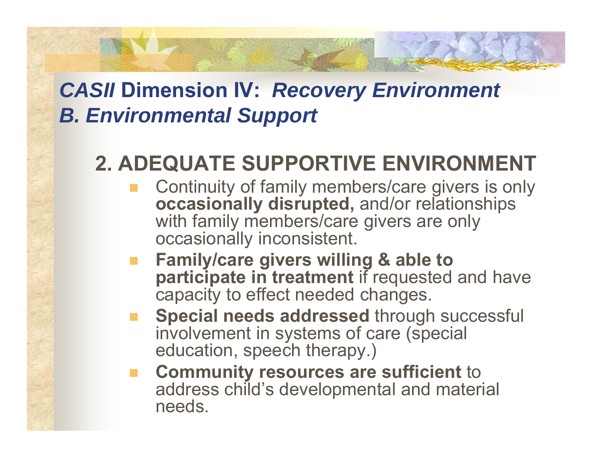## **2. ADEQUATE SUPPORTIVE ENVIRONMENT**

- Continuity of family members/care givers is only **occasionally disrupted,** and/or relationships with family members/care givers are only occasionally inconsistent.
- **Family/care givers willing & able to participate in treatment** if requested and have capacity to effect needed changes.
- **Special needs addressed** through successful involvement in systems of care (special education, speech therapy.)
- **Community resources are sufficient** to address child's developmental and material needs.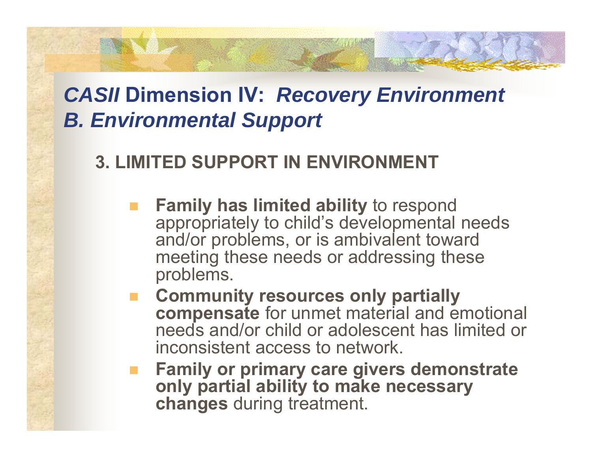### **3. LIMITED SUPPORT IN ENVIRONMENT**

- **Family has limited ability** to respond appropriately to child's developmental needs and/or problems, or is ambivalent toward meeting these needs or addressing these problems.
- **E** Community resources only partially **compensate** for unmet material and emotional needs and/or child or adolescent has limited or inconsistent access to network.
- **Family or primary care givers demonstrate only partial ability to make necessary changes** during treatment.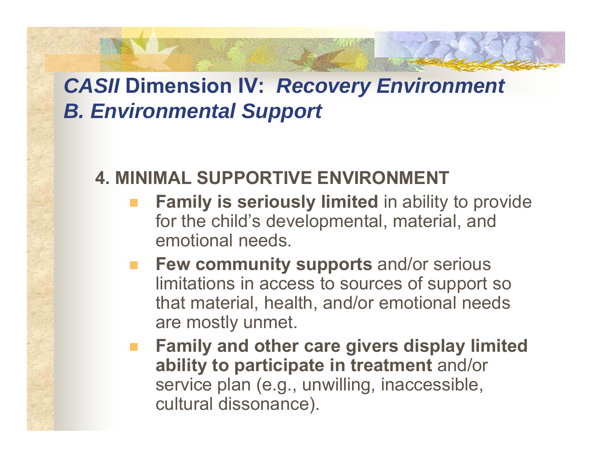#### **4. MINIMAL SUPPORTIVE ENVIRONMENT**

- **Family is seriously limited** in ability to provide for the child's developmental, material, and emotional needs.
- **Few community supports** and/or serious limitations in access to sources of support so that material, health, and/or emotional needs are mostly unmet.
- **Family and other care givers display limited ability to participate in treatment** and/or service plan (e.g., unwilling, inaccessible, cultural dissonance).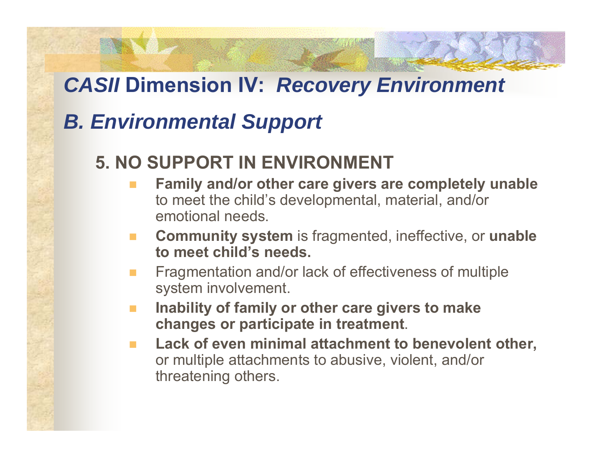### *CASII* **Dimension IV:** *Recovery Environment*

## *B. Environmental Support*

#### **5. NO SUPPORT IN ENVIRONMENT**

- **Family and/or other care givers are completely unable** to meet the child's developmental, material, and/or emotional needs.
- $\mathcal{L}^{\mathcal{L}}$  **Community system** is fragmented, ineffective, or **unable to meet child's needs.**
- Fragmentation and/or lack of effectiveness of multiple system involvement.
- $\mathbb{R}^n$  **Inability of family or other care givers to make changes or participate in treatment**.
- **Lack of even minimal attachment to benevolent other,** or multiple attachments to abusive, violent, and/or threatening others.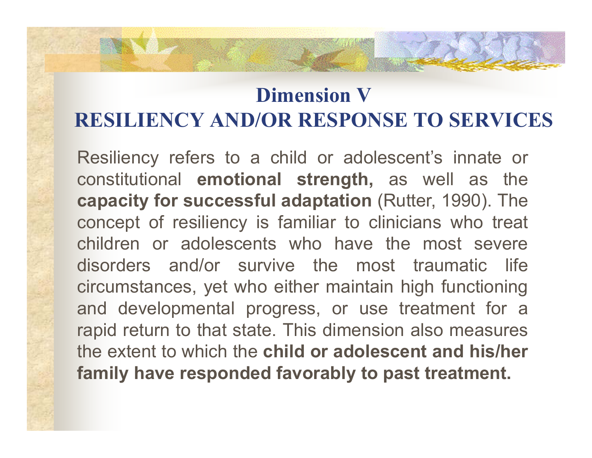### **Dimension VRESILIENCY AND/OR RESPONSE TO SERVICES**

Resiliency refers to <sup>a</sup> child or adolescent's innate or constitutional **emotional strength,** as well as the **capacity for successful adaptation** (Rutter, 1990). The concept of resiliency is familiar to clinicians who treat children or adolescents who have the most severe disorders and/or survive the most traumatic life circumstances, yet who either maintain high functioning and developmental progress, or use treatment for <sup>a</sup> rapid return to that state. This dimension also measures the extent to which the **child or adolescent and his/her family have responded favorably to past treatment.**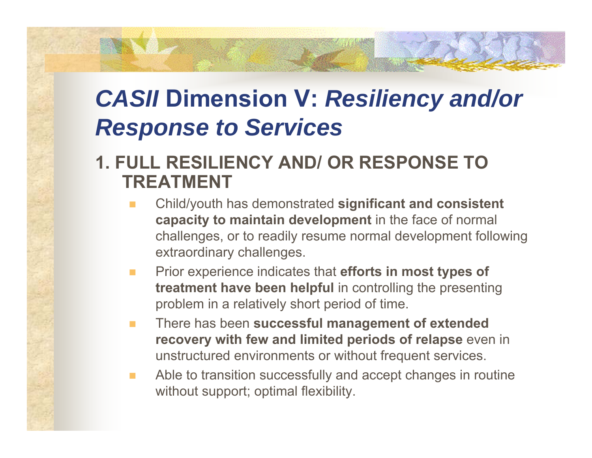#### **1. FULL RESILIENCY AND/ OR RESPONSE TO TREATMENT**

- Child/youth has demonstrated **significant and consistent capacity to maintain development** in the face of normal challenges, or to readily resume normal development following extraordinary challenges.
- **COL**  Prior experience indicates that **efforts in most types of treatment have been helpful** in controlling the presenting problem in a relatively short period of time.
- $\mathcal{L}^{\mathcal{L}}$  There has been **successful management of extended recovery with few and limited periods of relapse** even in unstructured environments or without frequent services.
- $\mathbf{r}$  Able to transition successfully and accept changes in routine without support; optimal flexibility.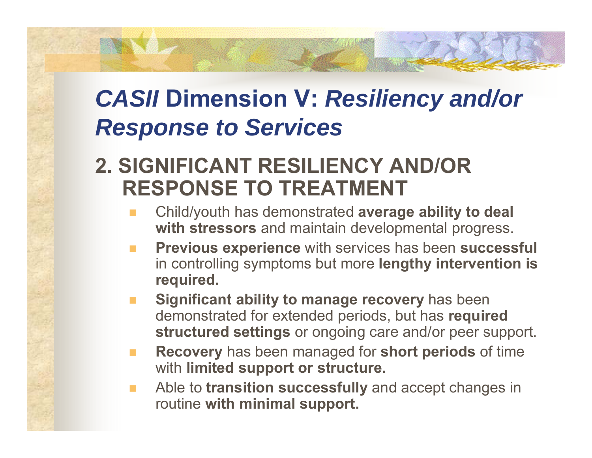### **2. SIGNIFICANT RESILIENCY AND/OR RESPONSE TO TREATMENT**

- Child/youth has demonstrated **average ability to deal with stressors** and maintain developmental progress.
- **Previous experience** with services has been **successful** in controlling symptoms but more **lengthy intervention is required.**
- **Significant ability to manage recovery** has been demonstrated for extended periods, but has **required structured settings** or ongoing care and/or peer support.
- **The State Recovery** has been managed for **short periods** of time with **limited support or structure.**
- $\mathcal{L}_{\mathcal{A}}$  Able to **transition successfully** and accept changes in routine **with minimal support.**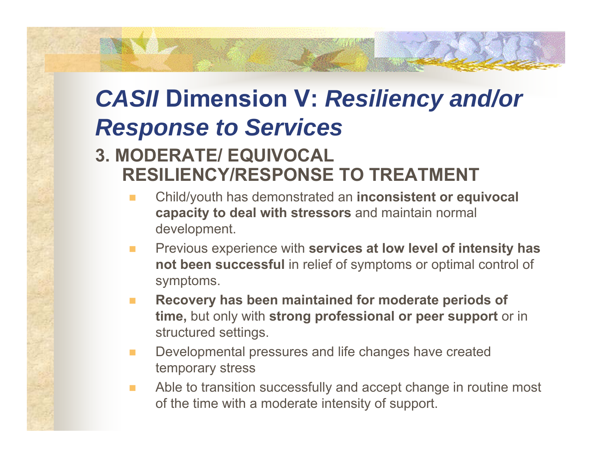#### **3. MODERATE/ EQUIVOCAL RESILIENCY/RESPONSE TO TREATMENT**

- Child/youth has demonstrated an **inconsistent or equivocal capacity to deal with stressors** and maintain normal development.
- $\mathbf{r}$  Previous experience with **services at low level of intensity has not been successful** in relief of symptoms or optimal control of symptoms.
- **Recovery has been maintained for moderate periods of time,** but only with **strong professional or peer support** or in structured settings.
- **COL**  Developmental pressures and life changes have created temporary stress
- $\mathcal{O}^{\mathcal{A}}$  Able to transition successfully and accept change in routine most of the time with a moderate intensity of support.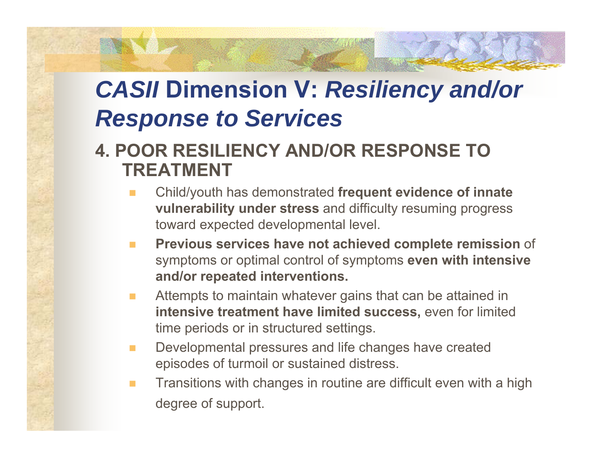#### **4. POOR RESILIENCY AND/OR RESPONSE TO TREATMENT**

- Child/youth has demonstrated **frequent evidence of innate vulnerability under stress** and difficulty resuming progress toward expected developmental level.
- $\mathbf{r}$  **Previous services have not achieved complete remission** of symptoms or optimal control of symptoms **even with intensive and/or repeated interventions.**
- **COL**  Attempts to maintain whatever gains that can be attained in **intensive treatment have limited success,** even for limited time periods or in structured settings.
- **COL**  Developmental pressures and life changes have created episodes of turmoil or sustained distress.
- $\mathbf{r}$  Transitions with changes in routine are difficult even with a high degree of support.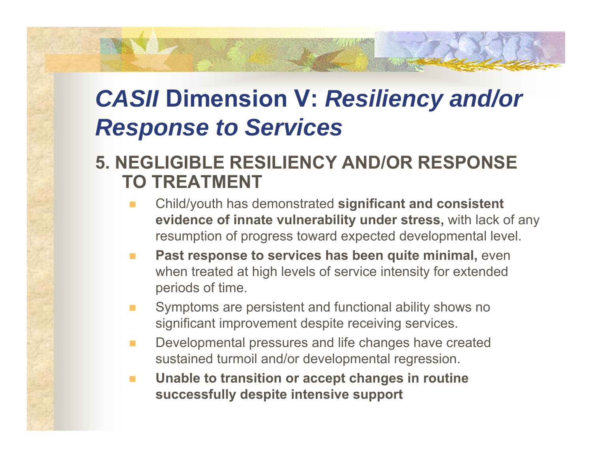#### **5. NEGLIGIBLE RESILIENCY AND/OR RESPONSE TO TREATMENT**

- Child/youth has demonstrated **significant and consistent evidence of innate vulnerability under stress,** with lack of any resumption of progress toward expected developmental level.
- $\mathbf{r}$  **Past response to services has been quite minimal,** even when treated at high levels of service intensity for extended periods of time.
- Symptoms are persistent and functional ability shows no significant improvement despite receiving services.
- $\mathcal{L}_{\mathcal{A}}$  Developmental pressures and life changes have created sustained turmoil and/or developmental regression.
- $\blacksquare$  **Unable to transition or accept changes in routine successfully despite intensive support**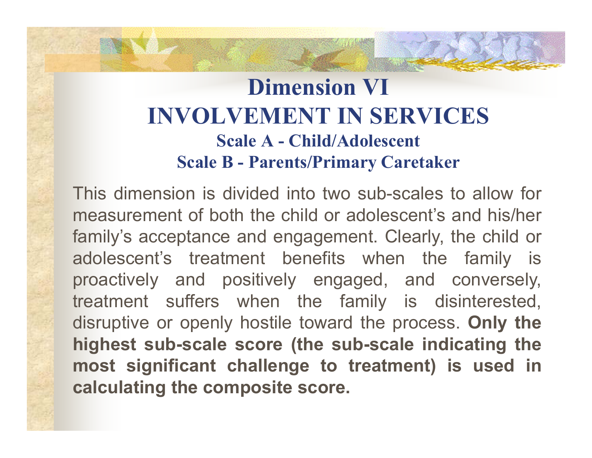## **Dimension VI INVOLVEMENT IN SERVICESScale A - Child/Adolescent Scale B - Parents/Primary Caretaker**

This dimension is divided into two sub-scales to allow for measurement of both the child or adolescent's and his/her family's acceptance and engagement. Clearly, the child or adolescent's treatment benefits when the family is proactively and positively engaged, and conversely, treatment suffers when the family is disinterested, disruptive or openly hostile toward the process. **Only the highest sub-scale score (the sub-scale indicating the most significant challenge to treatment) is used in calculating the composite score.**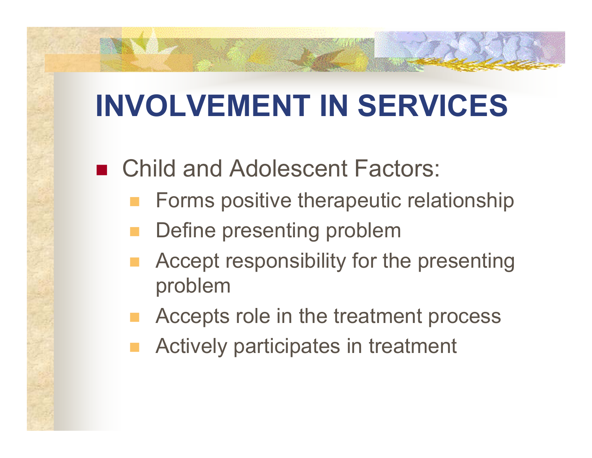# **INVOLVEMENT IN SERVICES**

■ Child and Adolescent Factors:

- Forms positive therapeutic relationship
- Define presenting problem
- Accept responsibility for the presenting problem
- Accepts role in the treatment process
- Actively participates in treatment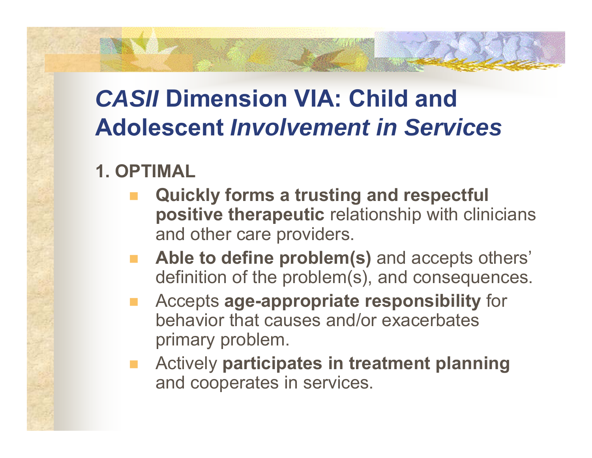#### **1. OPTIMAL**

- **Quickly forms a trusting and respectful positive therapeutic** relationship with clinicians and other care providers.
- **Able to define problem(s)** and accepts others' definition of the problem(s), and consequences.
- Accepts **age-appropriate responsibility** for behavior that causes and/or exacerbates primary problem.
- Actively **participates in treatment planning** and cooperates in services.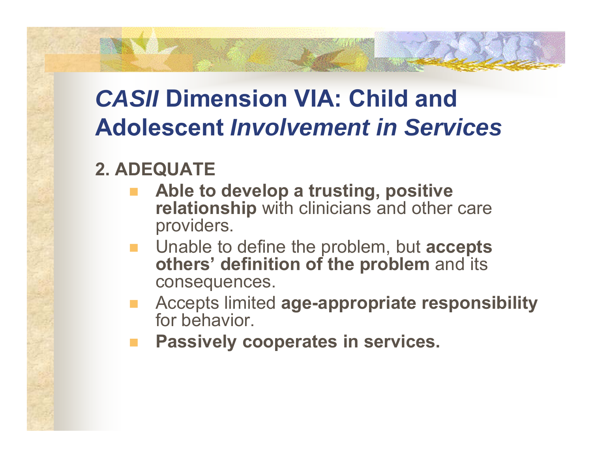#### **2. ADEQUATE**

- **Able to develop a trusting, positive relationship** with clinicians and other care providers.
- Unable to define the problem, but **accepts others' definition of the problem** and its consequences.
- Accepts limited **age-appropriate responsibility** for behavior.
- **Passively cooperates in services.**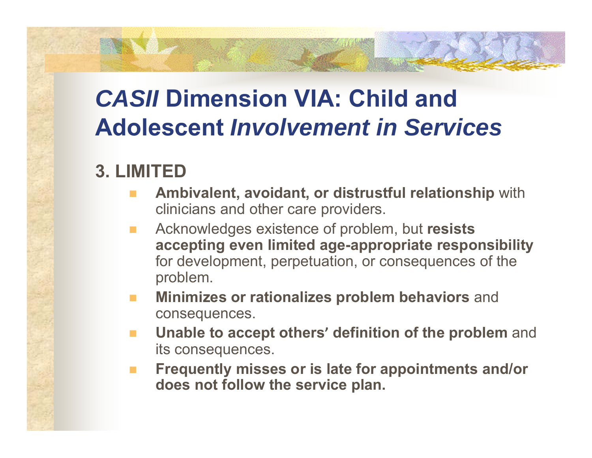#### **3. LIMITED**

- **Ambivalent, avoidant, or distrustful relationship** with clinicians and other care providers.
- Acknowledges existence of problem, but **resists accepting even limited age-appropriate responsibility** for development, perpetuation, or consequences of the problem.
- **Minimizes or rationalizes problem behaviors** and consequences.
- **Unable to accept others' definition of the problem** and its consequences.
- **Frequently misses or is late for appointments and/or does not follow the service plan.**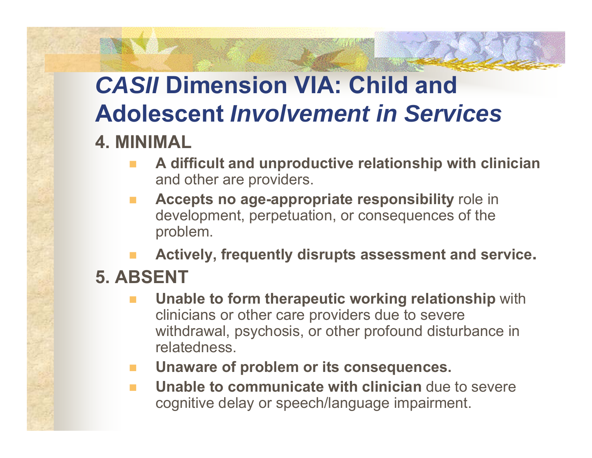#### **4. MINIMAL**

- **A difficult and unproductive relationship with clinician** and other are providers.
- **Accepts no age-appropriate responsibility** role in development, perpetuation, or consequences of the problem.
- **Actively, frequently disrupts assessment and service.**

### **5. ABSENT**

- **Unable to form therapeutic working relationship** with clinicians or other care providers due to severe withdrawal, psychosis, or other profound disturbance in relatedness.
- **Unaware of problem or its consequences.**
- **The State Unable to communicate with clinician** due to severe cognitive delay or speech/language impairment.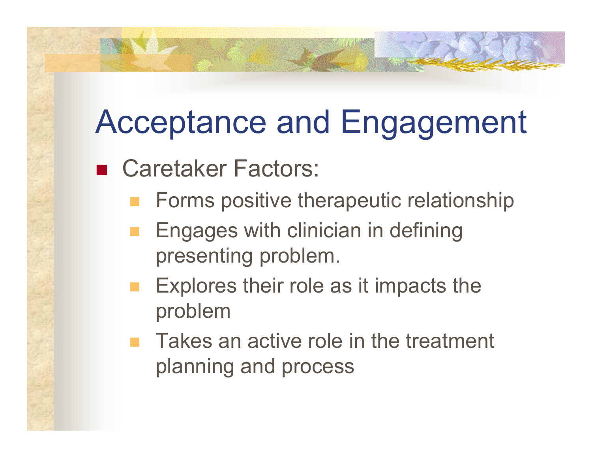# Acceptance and Engagement

- Caretaker Factors:
	- Forms positive therapeutic relationship
	- Engages with clinician in defining presenting problem.
	- Explores their role as it impacts the problem
	- Takes an active role in the treatment planning and process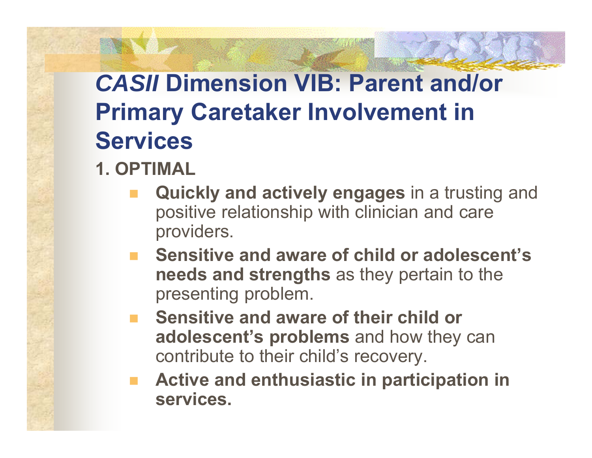### **1. OPTIMAL**

- **Quickly and actively engages** in a trusting and positive relationship with clinician and care providers.
- **Sensitive and aware of child or adolescent's needs and strengths** as they pertain to the presenting problem.
- **E** Sensitive and aware of their child or **adolescent's problems** and how they can contribute to their child's recovery.
- **Active and enthusiastic in participation in services.**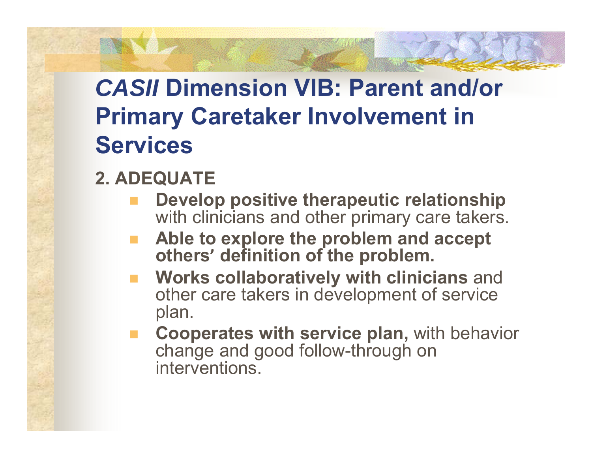### **2. ADEQUATE**

- **Develop positive therapeutic relationship** with clinicians and other primary care takers.
- **Able to explore the problem and accept others ' definition of the problem.**
- **Works collaboratively with clinicians** and other care takers in development of service plan.
- **Cooperates with service plan,** with behavior change and good follow-through on interventions.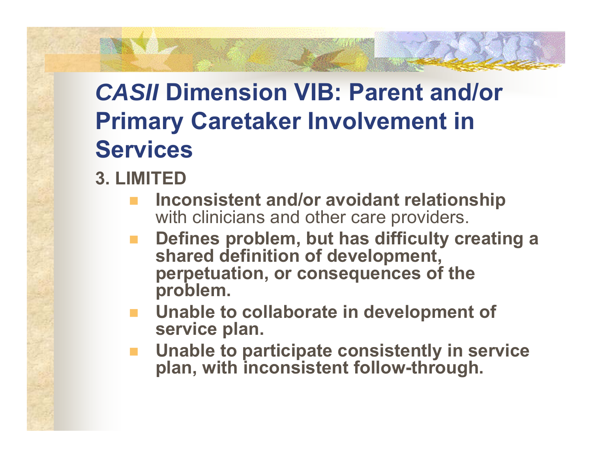### **3. LIMITED**

- **Inconsistent and/or avoidant relationship** with clinicians and other care providers.
- **Defines problem, but has difficulty creating a shared definition of development, perpetuation, or consequences of the problem.**
- **Unable to collaborate in development of service plan.**
- **Unable to participate consistently in service plan, with inconsistent follow-through.**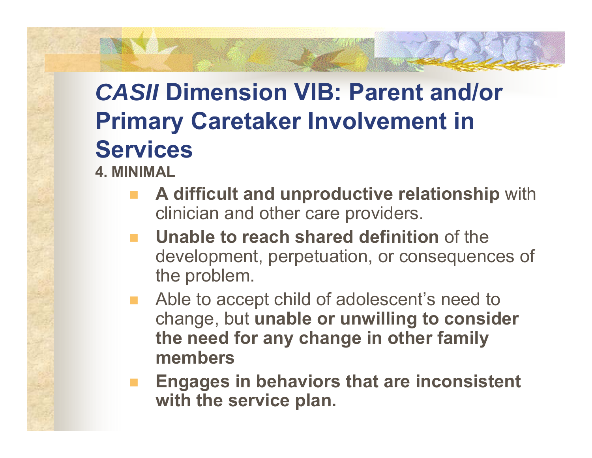- **4. MINIMAL**
	- **A difficult and unproductive relationship** with clinician and other care providers.
	- **Unable to reach shared definition** of the development, perpetuation, or consequences of the problem.
	- Able to accept child of adolescent's need to change, but **unable or unwilling to consider the need for any change in other family members**
	- **Engages in behaviors that are inconsistent with the service plan.**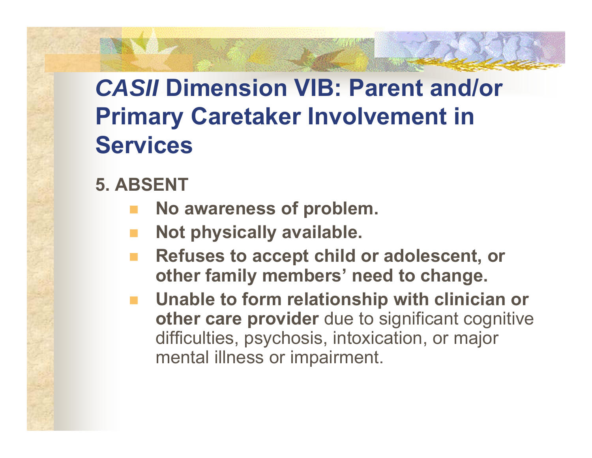### **5. ABSENT**

- **No awareness of problem.**
- **Not physically available.**
- **Refuses to accept child or adolescent, or other family members' need to change.**
- **Unable to form relationship with clinician or other care provider** due to significant cognitive difficulties, psychosis, intoxication, or major mental illness or impairment.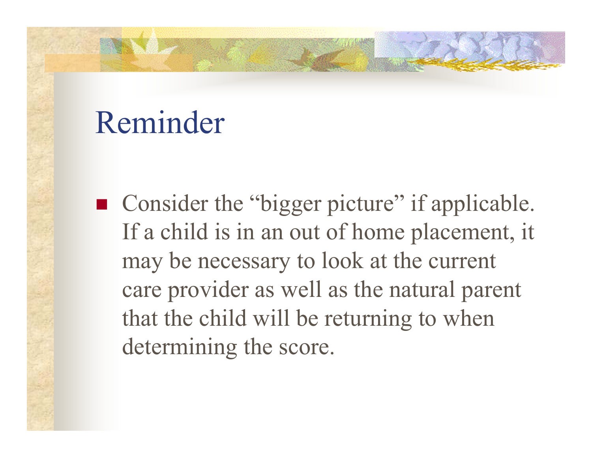# Reminder

■ Consider the "bigger picture" if applicable. If a child is in an out of home placement, it may be necessary to look at the current care provider as well as the natural parent that the child will be returning to when determining the score.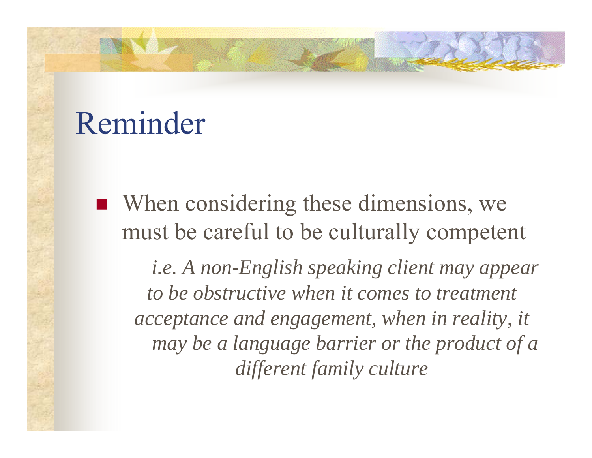# Reminder

 When considering these dimensions, we must be careful to be culturally competent

*i.e. A non-English speaking client may appear to be obstructive when it comes to treatment acceptance and engagement, when in reality, it may be a language barrier or the product of a different family culture*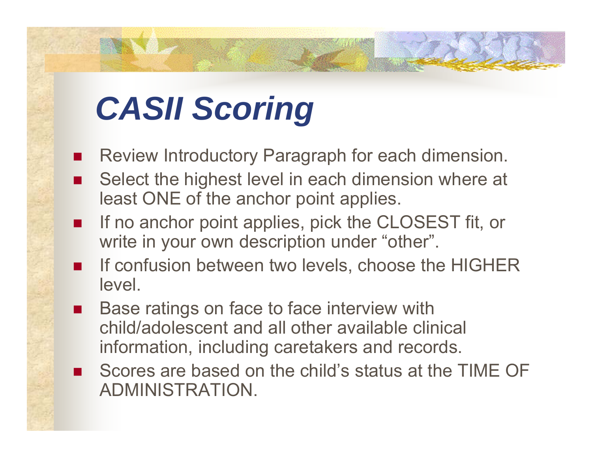# *CASII Scoring*

- $\overline{\phantom{a}}$ Review Introductory Paragraph for each dimension.
- П Select the highest level in each dimension where at least ONE of the anchor point applies.
- $\overline{\phantom{a}}$ If no anchor point applies, pick the CLOSEST fit, or write in your own description under "other".
- $\overline{\phantom{a}}$  If confusion between two levels, choose the HIGHER level.
- $\overline{\phantom{a}}$  Base ratings on face to face interview with child/adolescent and all other available clinical information, including caretakers and records.
- $\overline{\phantom{a}}$  Scores are based on the child's status at the TIME OF ADMINISTRATION.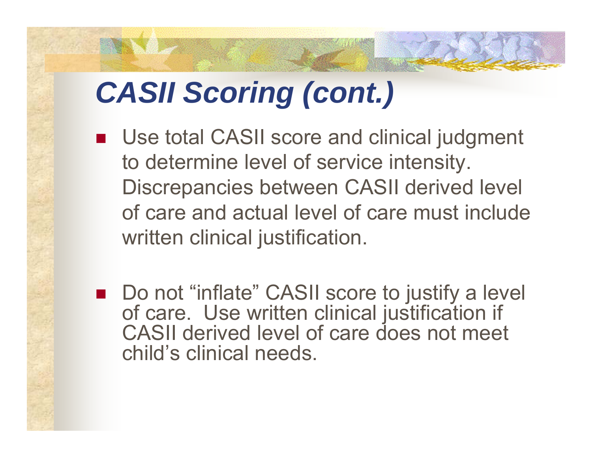# *CASII Scoring (cont.)*

- Use total CASII score and clinical judgment to determine level of service intensity. Discrepancies between CASII derived level of care and actual level of care must include written clinical justification.
- Do not "inflate" CASII score to justify a level of care. Use written clinical justification if CASII derived level of care does not meet child's clinical needs.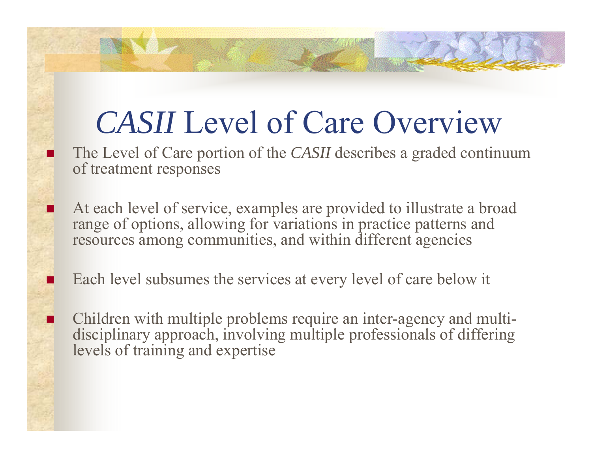# *CASII* Level of Care Overview

 The Level of Care portion of the *CASII* describes a graded continuum of treatment responses

- At each level of service, examples are provided to illustrate a broad range of options, allowing for variations in practice patterns and resources among communities, and within different agencies
- Each level subsumes the services at every level of care below it

J.

Π

Π

**n** Children with multiple problems require an inter-agency and multidisciplinary approach, involving multiple professionals of differing levels of training and expertise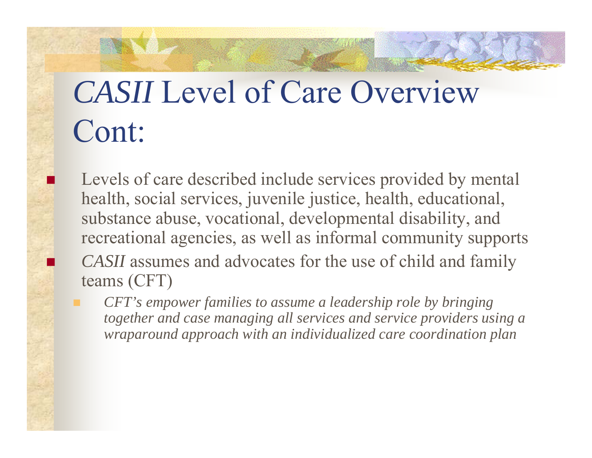# *CASII* Level of Care Overview Cont:

 $\overline{\phantom{a}}$ 

**I** 

 Levels of care described include services provided by mental health, social services, juvenile justice, health, educational, substance abuse, vocational, developmental disability, and recreational agencies, as well as informal community supports *CASII* assumes and advocates for the use of child and family teams (CFT)

 *CFT's empower families to assume a leadership role by bringing together and case managing all services and service providers using a wraparound approach with an individualized care coordination plan*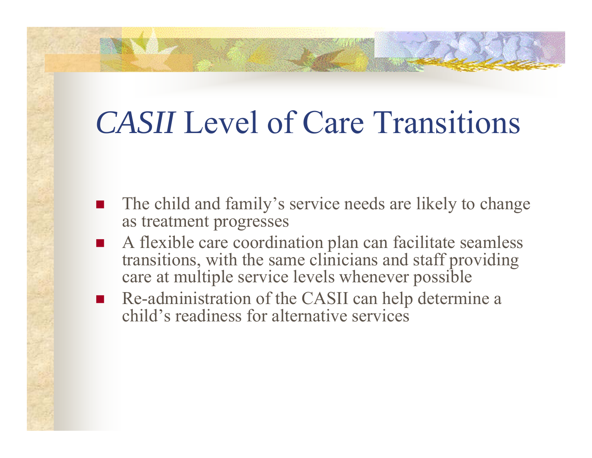## *CASII* Level of Care Transitions

- $\overline{\phantom{a}}$  The child and family's service needs are likely to change as treatment progresses
- $\overline{\phantom{a}}$ ■ A flexible care coordination plan can facilitate seamless transitions, with the same clinicians and staff providing care at multiple service levels whenever possible
- $\overline{\phantom{a}}$  Re-administration of the CASII can help determine a child's readiness for alternative services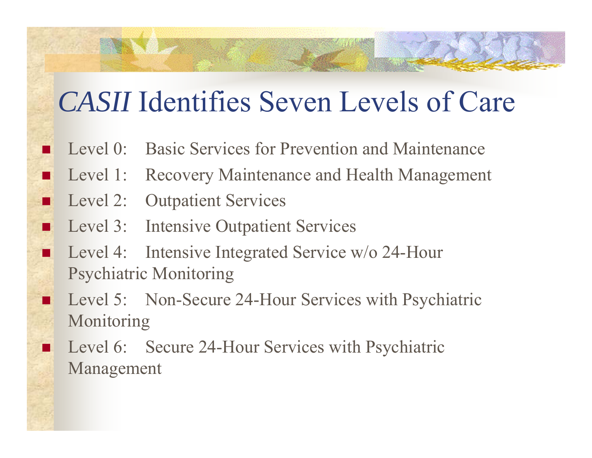#### *CASII* Identifies Seven Levels of Care

- Level 0: Basic Services for Prevention and Maintenance
- Level 1: Recovery Maintenance and Health Management
- Level 2: Outpatient Services

**ANTISTICS** 

 $\overline{\phantom{a}}$ 

П

П

 $\overline{\phantom{a}}$ 

▪

 $\overline{\phantom{a}}$ 

 $\overline{\phantom{a}}$ 

- Level 3: Intensive Outpatient Services
- Level 4: Intensive Integrated Service w/o 24-Hour Psychiatric Monitoring
- Level 5: Non-Secure 24-Hour Services with Psychiatric Monitoring
- Level 6: Secure 24-Hour Services with Psychiatric Management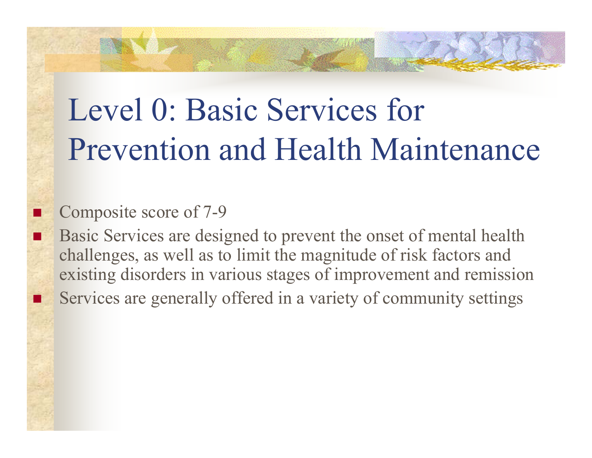# Level 0: Basic Services for Prevention and Health Maintenance

#### Composite score of 7-9

П

 $\overline{\phantom{a}}$ 

 $\overline{\phantom{a}}$ 

 Basic Services are designed to prevent the onset of mental health challenges, as well as to limit the magnitude of risk factors and existing disorders in various stages of improvement and remission Services are generally offered in a variety of community settings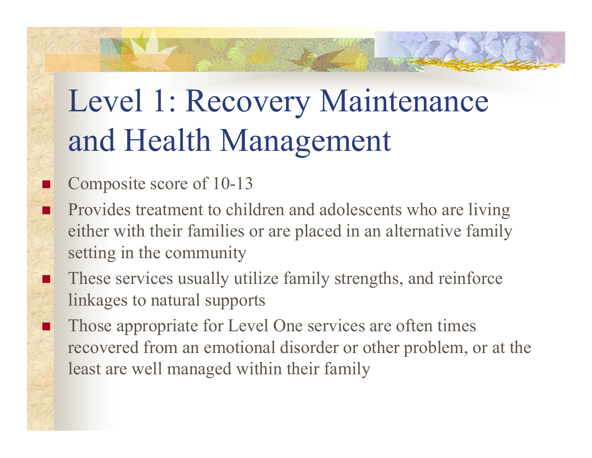# Level 1: Recovery Maintenance and Health Management

#### Composite score of 10-13

П

П

.

 $\overline{\phantom{a}}$ 

- Provides treatment to children and adolescents who are living either with their families or are placed in an alternative family setting in the community
- These services usually utilize family strengths, and reinforce linkages to natural supports
- Those appropriate for Level One services are often times recovered from an emotional disorder or other problem, or at the least are well managed within their family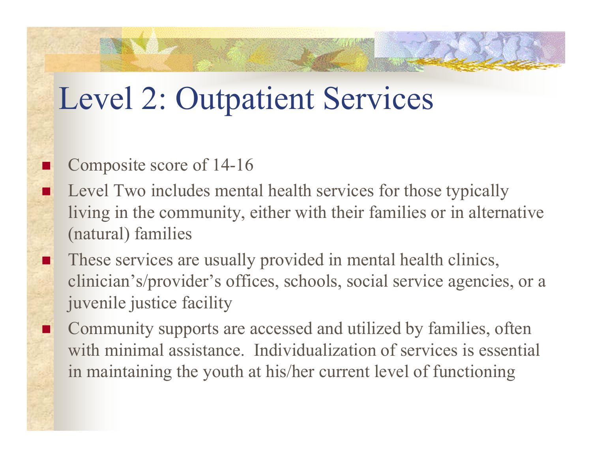## Level 2: Outpatient Services

#### Composite score of 14-16

 $\overline{\phantom{a}}$ 

п

 $\overline{\phantom{a}}$ 

 Level Two includes mental health services for those typically living in the community, either with their families or in alternative (natural) families

- These services are usually provided in mental health clinics, clinician's/provider's offices, schools, social service agencies, or a juvenile justice facility
- Community supports are accessed and utilized by families, often with minimal assistance. Individualization of services is essential in maintaining the youth at his/her current level of functionin g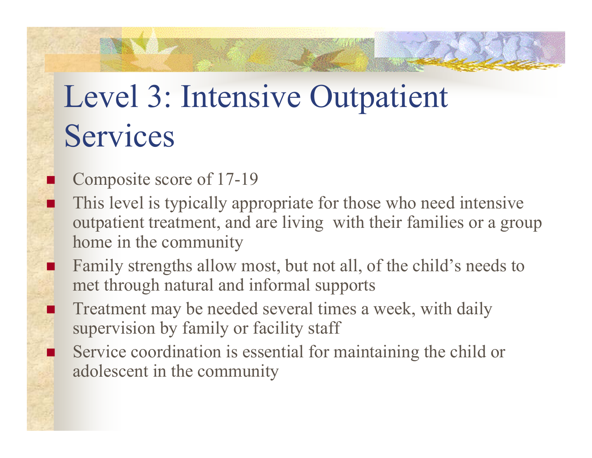# Level 3: Intensive Outpatient Services

Composite score of 17-19

**T** 

П

T.

 $\overline{\phantom{a}}$ 

П

- This level is typically appropriate for those who need intensive outpatient treatment, and are living with their families or a group home in the community
- Family strengths allow most, but not all, of the child's needs to met through natural and informal supports
- Treatment may be needed several times a week, with daily supervision by family or facility staff
- Service coordination is essential for maintaining the child or adolescent in the community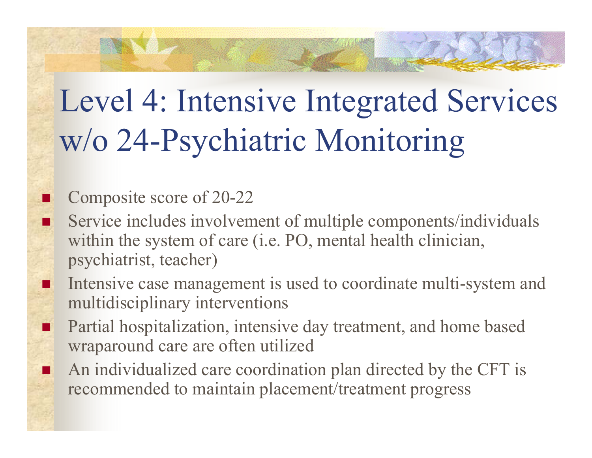# Level 4: Intensive Integrated Services w/o 24-Psychiatric Monitoring

#### Composite score of 20-22

 $\overline{\phantom{a}}$ 

■

 $\overline{\phantom{a}}$ 

п

п

- Service includes involvement of multiple components/individuals within the system of care (i.e. PO, mental health clinician, psychiatrist, teacher)
- Intensive case management is used to coordinate multi-system and multidisciplinary interventions
- Partial hospitalization, intensive day treatment, and home based wraparound care are often utilized
- An individualized care coordination plan directed by the CFT is recommended to maintain placement/treatment progress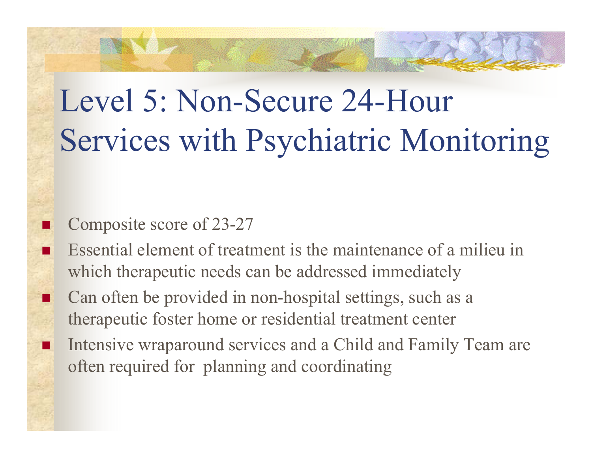# Level 5: Non-Secure 24-Hour Services with Psychiatric Monitoring

#### Composite score of 23-27

П

П

П

П

 Essential element of treatment is the maintenance of a milieu in which therapeutic needs can be addressed immediately

 Can often be provided in non-hospital settings, such as a therapeutic foster home or residential treatment center

 Intensive wraparound services and a Child and Family Team are often required for planning and coordinating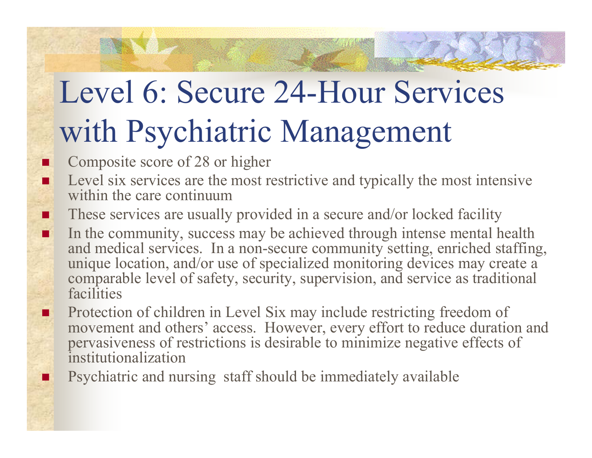# Level 6: Secure 24-Hour Services with Psychiatric Management

Composite score of 28 or higher

П

п

**I** 

П

п

**I** 

 Level six services are the most restrictive and typically the most intensive within the care continuum

These services are usually provided in a secure and/or locked facility

 In the community, success may be achieved through intense mental health and medical services. In a non-secure community setting, enriched staffing, unique location, and/or use of specialized monitoring devices may create a comparable level of safety, security, supervision, and service as traditional facilities

 Protection of children in Level Six may include restricting freedom of movement and others' access. However, every effort to reduce duration and pervasiveness of restrictions is desirable to minimize negative effects of institutionalization

Psychiatric and nursing staff should be immediately available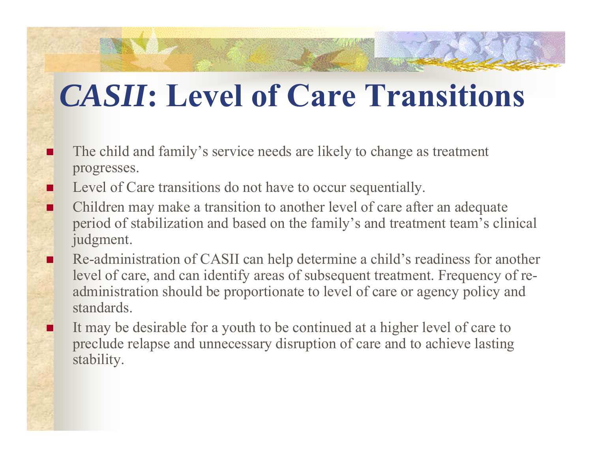## *CASII***: Level of Care Transitions**

- Π The child and family's service needs are likely to change as treatment progresses.
	- Level of Care transitions do not have to occur sequentially.

п

П

Π

- Children may make a transition to another level of care after an adequate period of stabilization and based on the family's and treatment team's clinical judgment.
	- Re-administration of CASII can help determine a child's readiness for another level of care, and can identify areas of subsequent treatment. Frequency of readministration should be proportionate to level of care or agency policy and standards.
	- It may be desirable for a youth to be continued at a higher level of care to preclude relapse and unnecessary disruption of care and to achieve lasting stability.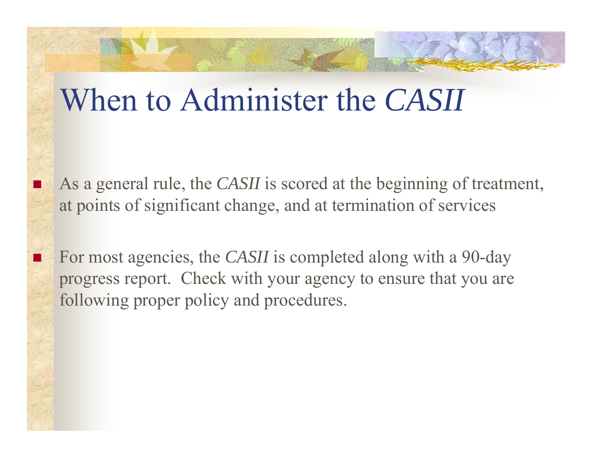### When to Administer the *CASII*

П

П

- As a general rule, the *CASII* is scored at the beginning of treatment, at points of significant change, and at termination of services
- For most agencies, the *CASII* is completed along with a 90-day progress report. Check with your agency to ensure that you are following proper policy and procedures.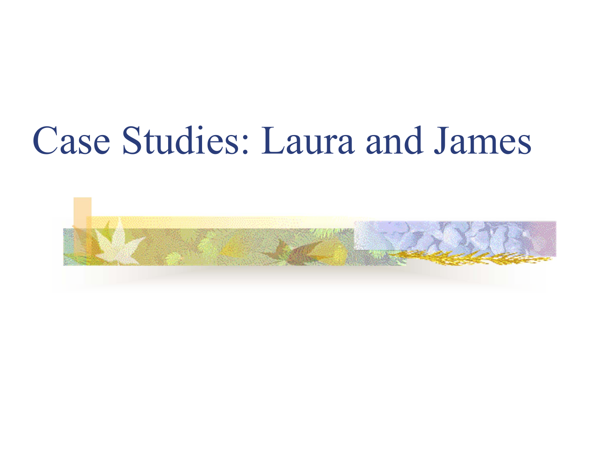# Case Studies: Laura and James

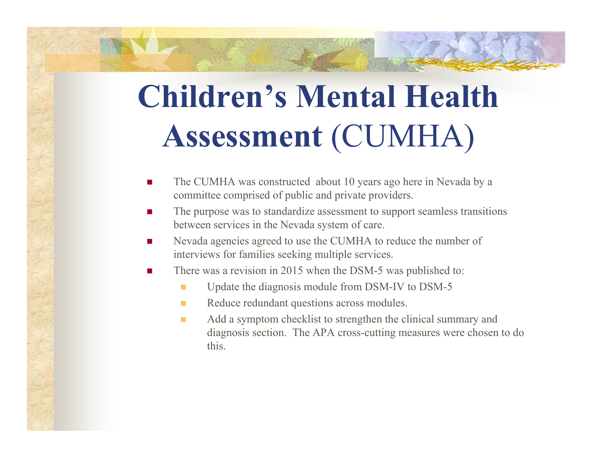# **Children's Mental Health Assessment** (CUMHA)

- $\mathcal{L}_{\mathcal{A}}$  The CUMHA was constructed about 10 years ago here in Nevada by a committee comprised of public and private providers.
- $\mathcal{L}_{\text{max}}$  The purpose was to standardize assessment to support seamless transitions between services in the Nevada system of care.
- **The State**  Nevada agencies agreed to use the CUMHA to reduce the number of interviews for families seeking multiple services.
- There was a revision in 2015 when the DSM-5 was published to:
	- п Update the diagnosis module from DSM-IV to DSM-5
	- **The State** Reduce redundant questions across modules.
	- $\mathcal{L}_{\mathcal{A}}$  Add a symptom checklist to strengthen the clinical summary and diagnosis section. The APA cross-cutting measures were chosen to do this.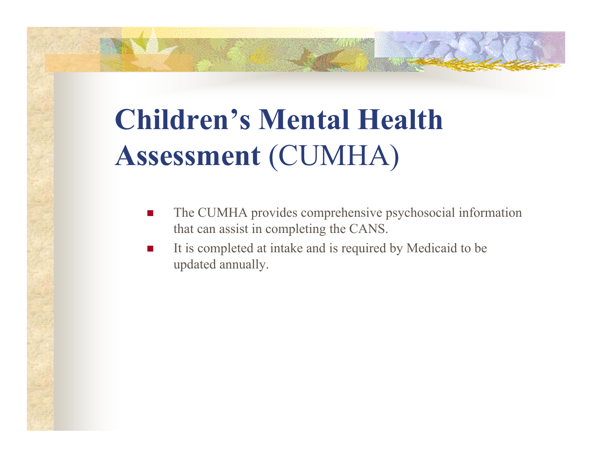## **Children's Mental Health Assessment** (CUMHA)

- Г The CUMHA provides comprehensive psychosocial information that can assist in completing the CANS.
- Г It is completed at intake and is required by Medicaid to be updated annually.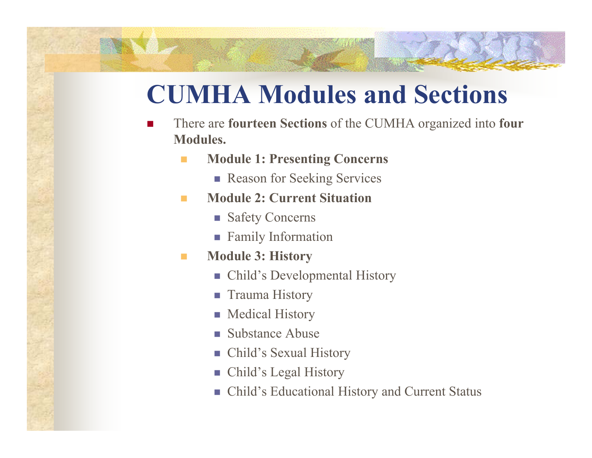#### **CUMHA Modules and Sections**

- Г There are **fourteen Sections** of the CUMHA organized into **four Modules.**
	- **Module 1: Presenting Concerns**
		- **Reason for Seeking Services**
	- **College Module 2: Current Situation**
		- **Safety Concerns**
		- **Family Information**
	- $\mathcal{L}^{\mathcal{L}}$  **Module 3: History**
		- Child's Developmental History
		- **Trauma History**
		- **Nedical History**
		- **Substance Abuse**
		- $\mathcal{L}_{\mathcal{A}}$ Child's Sexual History
		- Child's Legal History
		- Child's Educational History and Current Status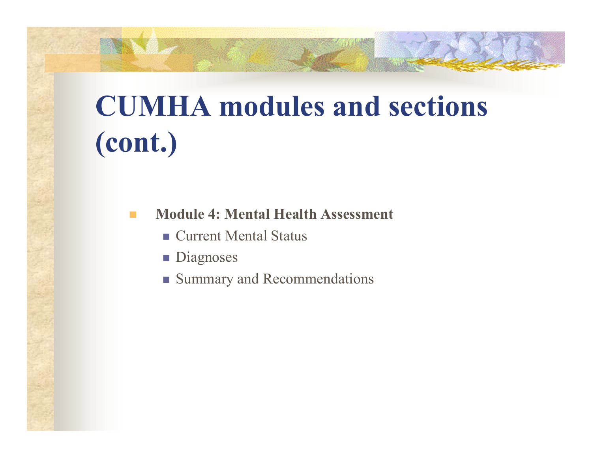## **CUMHA modules and sections (cont.)**

**Module 4: Mental Health Assessment**

- Current Mental Status
- **Diagnoses**
- **Summary and Recommendations**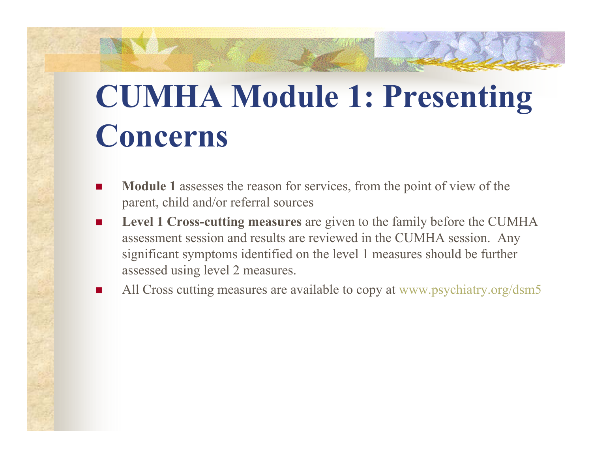# **CUMHA Module 1: Presenting Concerns**

- **COL Module 1** assesses the reason for services, from the point of view of the parent, child and/or referral sources
- $\mathcal{L}_{\mathcal{A}}$  **Level 1 Cross-cutting measures** are given to the family before the CUMHA assessment session and results are reviewed in the CUMHA session. Any significant symptoms identified on the level 1 measures should be further assessed using level 2 measures.
- П All Cross cutting measures are available to copy at www.psychiatry.org/dsm5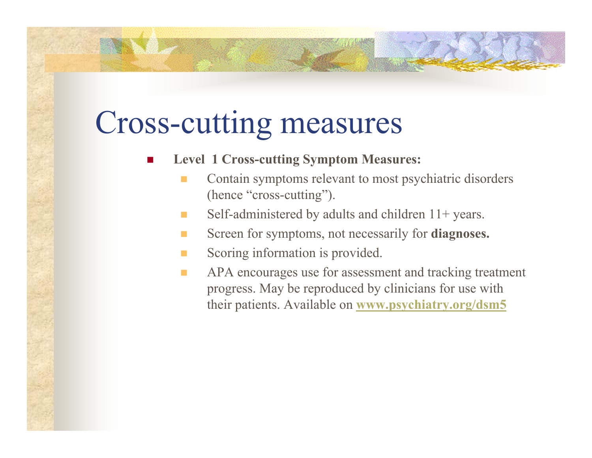### Cross-cutting measures

- **Level 1 Cross-cutting Symptom Measures:**
	- Contain symptoms relevant to most psychiatric disorders (hence "cross-cutting").
	- **College** Self-administered by adults and children 11+ years.
	- **COL** Screen for symptoms, not necessarily for **diagnoses.**
	- **COL** Scoring information is provided.
	- $\mathcal{L}_{\mathcal{A}}$  APA encourages use for assessment and tracking treatment progress. May be reproduced by clinicians for use with their patients. Available on **www.psychiatry.org/dsm5**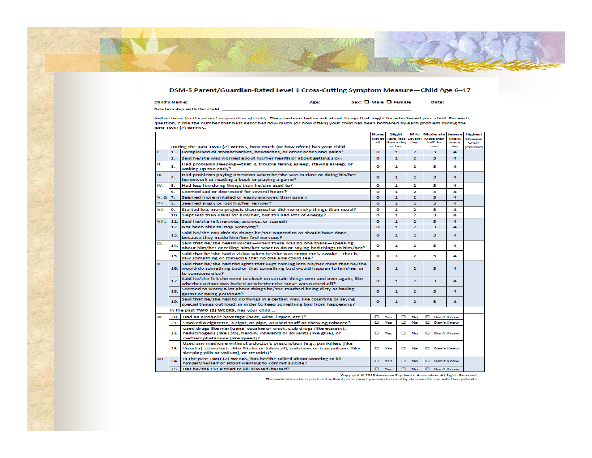#### DSM-5 Parent/Guardian-Rated Level 1 Cross-Cutting Symptom Measure-Child Age 6-17

| Child's Name:                       | APP | Sex: Q Male Q Female | Date: |
|-------------------------------------|-----|----------------------|-------|
| <b>Relationship with the child:</b> |     |                      |       |

Instructions *(to the parent or guardian of child):* The questions below ask about things that might have bothered your child. For each<br>question, circle the number that best describes how much (or how often) your child has

|       |                |                                                                                                                                                                                                              | None         | Slight                         |   | Mild            | Moderate              | Severe          | <b>Highest</b>  |
|-------|----------------|--------------------------------------------------------------------------------------------------------------------------------------------------------------------------------------------------------------|--------------|--------------------------------|---|-----------------|-----------------------|-----------------|-----------------|
|       |                |                                                                                                                                                                                                              | Not at<br>大臣 | Rare, less<br>than a day       |   | Several<br>days | More than<br>half the | Nearty<br>every | Domain<br>Score |
|       |                | During the past TWO (2) WEEKS, how much (or how often) has your child                                                                                                                                        |              | or two                         |   |                 | days                  | day             | (clínician      |
| т.    | 1.             | Complained of stomachaches, headaches, or other aches and pains?                                                                                                                                             | $\circ$      | 1<br>2                         |   |                 | з                     | а               |                 |
|       | $\mathbf{z}$   | Said he/she was worried about his/her health or about getting sick?                                                                                                                                          | $\circ$      | $\mathbf{1}$                   |   | z.              | з                     | 4               |                 |
| ш.    | з.             | Had problems sleeping-that is, trouble falling asleep, staying asleep, or<br>waking up too early?                                                                                                            | $\Omega$     | 1                              |   | 2               | з                     | А               |                 |
| TH.   | 4.             | Had problems paying attention when he/she was in class or doing his/her<br>homework or reading a book or playing a game?                                                                                     | $\circ$      | $\mathbf{1}$                   |   | 2               | в                     | а               |                 |
| IV.   | 5.             | Had less fun doing things than he/she used to?                                                                                                                                                               | ۰            | $\mathbf{1}$                   |   | 2               | з                     | 4               |                 |
|       | 6.             | Seemed sad or depressed for several hours?                                                                                                                                                                   | ۰            | 1                              |   | 2               | з                     | 4               |                 |
| V.8   | $\overline{z}$ | Seemed more irritated or easily annoyed than usual?                                                                                                                                                          | $\bullet$    | $\mathbf{1}$                   |   | ž.              | з                     | 4               |                 |
| VI.   | 8.             | Seemed angry or lost his/her temper?                                                                                                                                                                         | $\circ$      | ÷.                             |   | $\overline{z}$  | з                     | 4               |                 |
| VII.  | 9.             | Started lots more projects than usual or did more risky things than usual?                                                                                                                                   | ۰            | 1                              |   | 2               | з                     | 4               |                 |
|       | 10.            | Slept less than usual for him/her, but still had lots of energy?                                                                                                                                             | ۰            | 1                              |   | 2               | з                     | 4               |                 |
| VIII. | 11.            | Said he/she felt nervous, anxious, or scared?                                                                                                                                                                | $\circ$      | $\mathbf{1}$                   |   | z               | з                     | 4               |                 |
|       | 12.            | Not been able to stop worrying?                                                                                                                                                                              | $\Omega$     | $\blacksquare$                 |   | ×.              | в                     | 4               |                 |
|       | 13.            | Said he/she couldn't do things he/she wanted to or should have done,<br>because they made him/her feel nervous?                                                                                              | $\Omega$     | $\mathbf{1}$                   |   | 2               | в                     | а               |                 |
| DC.   | 14.            | Said that he/she heard voices—when there was no one there—speaking<br>about him/her or telling him/her what to do or saying bad things to him/her?                                                           | ۰            | 1                              |   | 2               | з                     | 4               |                 |
|       | 15.            | Said that he/she had a vision when he/she was completely awake-that is.<br>saw something or someone that no one else could see?                                                                              | o            | 1                              |   | 2               | з                     | 4               |                 |
| x.    |                | Said that he/she had thoughts that kept coming into his/her mind that he/she<br>16. would do something bad or that something bad would happen to him/her or<br>to someone else?                              | ۰            | a.                             |   | z               | з                     | 4               |                 |
|       | 17.            | Said he/she felt the need to check on certain things over and over again, like<br>whether a door was locked or whether the stove was turned off?                                                             | $\circ$      | $\mathbf{1}$                   |   | z               | з                     | 4               |                 |
|       | 18.            | Seemed to worry a lot about things he/she touched being dirty or having<br>germs or being poisoned?                                                                                                          | o            | z<br>1                         |   |                 | з                     | 4               |                 |
|       | 19             | Said that he/she had to do things in a certain way, like counting or saying<br>special things out loud, in order to keep something bad from happening?                                                       | ۰            | a.                             |   | 2               | з                     | а               |                 |
|       |                | In the past TWO (2) WEEKS, has your child                                                                                                                                                                    |              |                                |   |                 |                       |                 |                 |
| XL    | 20.            | Had an alcoholic beverage (beer, wine, liquor, etc.)?                                                                                                                                                        | o            | Yes                            | п | No              |                       | Don't Know      |                 |
|       | 21.            | Smoked a cigarette, a cigar, or pipe, or used snuff or chewing tobacco?                                                                                                                                      | o            | Yes                            | ▫ | No              | o                     | Don't Know      |                 |
|       | 22.            | Used drugs like marijuana, cocaine or crack, club drugs (like ecstasy),<br>hallucinogens (like LSD), heroin, inhalants or solvents (like glue), or<br>methamphetamine (like speed)?                          | o            | D Don't Know<br>Yes<br>▫<br>No |   |                 |                       |                 |                 |
|       | 23.            | Used any medicine without a doctor's prescription (e.g., painkillers [like]<br>Vicodin], stimulants [like Ritalin or Adderall], sedatives or tranquilizers [like<br>sleeping pills or Valium], or steroids)? | o            | Yes                            | □ | No              | D Don't Know          |                 |                 |
| XII.  | 24.            | In the past TWO (2) WEEKS, has he/she talked about wanting to kill<br>himself/herself or about wanting to commit suicide?                                                                                    | n            | Yes                            | п | <b>No</b>       | Don't Know            |                 |                 |
|       | 25.            | Has he/she EVER tried to kill himself/herself?                                                                                                                                                               | o            | Yes                            | □ | No.             | Don't Know            |                 |                 |

Copyright © 2013 American Psychiatric Association. All Rights Reserved.<br>This material can be reproduced without permission by researchers and by clinicians for use with their patients.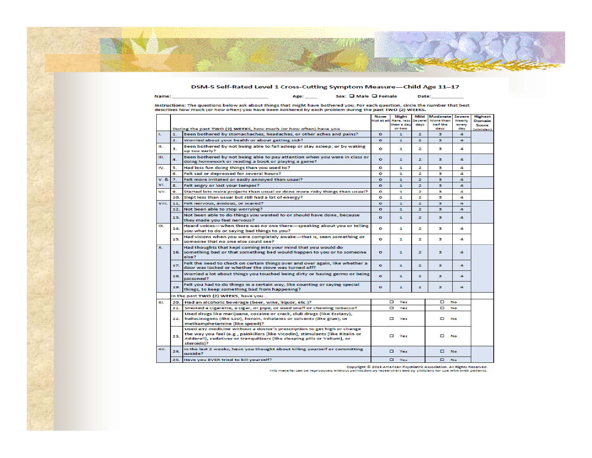#### DSM-5 Self-Rated Level 1 Cross-Cutting Symptom Measure-Child Age 11-17

Sex: Q Male Q Female

Date:

Instructions: The questions below ask about things that might have bothered you. For each question, circle the number that best<br>describes how much (or how often) you have been bothered by each problem during the past TWO (

Age: \_\_\_\_\_

|                  |                  |                                                                                                                                                                                                                                                       | None<br>Not at all | Slight<br>Rare, less | Mild<br>Seweral | <b>Moderate Severe</b><br>More than | <b>Nearly</b> | <b>Highest</b><br><b>Domain</b> |
|------------------|------------------|-------------------------------------------------------------------------------------------------------------------------------------------------------------------------------------------------------------------------------------------------------|--------------------|----------------------|-----------------|-------------------------------------|---------------|---------------------------------|
|                  |                  |                                                                                                                                                                                                                                                       |                    | than a day           | days            | half the                            | every         | Score                           |
|                  |                  | During the past TWO (2) WEEKS, how much (or how often) have you                                                                                                                                                                                       |                    | or two               |                 | days                                | day           | (clinician)                     |
| $\mathbf{L}$     | 1.               | Been bothered by stomachaches, headaches, or other aches and pains?                                                                                                                                                                                   | $\bullet$          | $\mathbf{1}$         | $\mathbf{z}$    | з.                                  | 4             |                                 |
|                  | $\overline{2}$ . | Worried about your health or about getting sick?                                                                                                                                                                                                      | $\bullet$          | n.                   | $\overline{ }$  | з                                   | $\Delta$      |                                 |
| ш.               | з.               | Been bothered by not being able to fall asleep or stay asleep, or by waking<br>up too early?                                                                                                                                                          | ۰                  | 1                    | 2               | з                                   | 4             |                                 |
| TH.              | 4.               | Been bothered by not being able to pay attention when you were in class or<br>doing homework or reading a book or playing a game?                                                                                                                     | $\Omega$           | $\mathbf{1}$         | 2               | з                                   | $\Delta$      |                                 |
| IV.              | 5.               | Had less fun doing things than you used to?                                                                                                                                                                                                           | ۰                  | 1                    | z.              | в                                   | А             |                                 |
|                  | 6.               | Felt sad or depressed for several hours?                                                                                                                                                                                                              | ۰                  | 1                    | 2               | з                                   | 4             |                                 |
| V.8 <sub>k</sub> | $\overline{z}$ . | Felt more irritated or easily annoyed than usual?                                                                                                                                                                                                     | $\bullet$          | $\mathbf{1}$         | $\overline{z}$  | в                                   | $\Delta$      |                                 |
| VI.              | 8.               | Felt angry or lost your temper?                                                                                                                                                                                                                       | $\bullet$          | $\mathbf{1}$         | $\overline{z}$  | з                                   | $\Delta$      |                                 |
| VII.             | 9.               | Started lots more projects than usual or done more risky things than usual?                                                                                                                                                                           | ۰                  | 1                    | 2               | з                                   | л             |                                 |
|                  | 10.              | Slept less than usual but still had a lot of energy?                                                                                                                                                                                                  | ۰                  | 1                    | 2               | з                                   | л             |                                 |
| VIII.            | 11.              | Felt nervous, anxious, or scared?                                                                                                                                                                                                                     | $\bullet$          | $\blacksquare$       | $\overline{z}$  | з                                   | 4             |                                 |
|                  | 12.              | Not been able to stop worrying?                                                                                                                                                                                                                       | $\bullet$          | $\mathbf{I}$         | $\overline{z}$  | з                                   | $\Delta$      |                                 |
|                  | 13.              | Not been able to do things you wanted to or should have done, because<br>they made you feel nervous?                                                                                                                                                  | $\bullet$          | $\mathbf{1}$         | $\mathbf{z}$    | з                                   | 4             |                                 |
| DC.              | 14.              | Heard voices-when there was no one there-speaking about you or telling<br>you what to do or saying bad things to you?                                                                                                                                 | ۰                  | 1                    | 2               | в                                   | л             |                                 |
|                  | 15.              | Had visions when you were completely awake—that is, seen something or                                                                                                                                                                                 | ۰                  | 1                    | 2               | в                                   | 4             |                                 |
|                  |                  | someone that no one else could see?                                                                                                                                                                                                                   |                    |                      |                 |                                     |               |                                 |
| x.               |                  | Had thoughts that kept coming into your mind that you would do<br>16. something bad or that something bad would happen to you or to someone<br>else?                                                                                                  | $\bullet$          | $\mathbf{1}$         | $\overline{2}$  | з                                   | $\Delta$      |                                 |
|                  | 17.              | Felt the need to check on certain things over and over again, like whether a<br>door was locked or whether the stove was turned off?                                                                                                                  | $\circ$            | $\mathbf{1}$         | $\mathbf{z}$    | з                                   | 4             |                                 |
|                  | 18.              | Worried a lot about things you touched being dirty or having germs or being<br>poisoned?                                                                                                                                                              | $\Omega$           | $\mathbf{1}$         | $\mathbf{z}$    | з                                   | $\Delta$      |                                 |
|                  | 19.              | Felt you had to do things in a certain way, like counting or saying special<br>things, to keep something bad from happening?                                                                                                                          | $\bullet$          | $\mathbf{1}$         | z               | з                                   | 4             |                                 |
|                  |                  | in the past TWO (2) WEEKS, have you                                                                                                                                                                                                                   |                    |                      |                 |                                     |               |                                 |
| XL               | 20.              | Had an alcoholic beverage (beer, wine, liquor, etc.)?                                                                                                                                                                                                 |                    | o<br>Yes             |                 | o                                   | No            |                                 |
|                  | 21.              | Smoked a cigarette, a cigar, or pipe, or used snuff or chewing tobacco?                                                                                                                                                                               | о<br>Yes           |                      |                 | п<br>No                             |               |                                 |
|                  | 22.              | Used drugs like marijuana, cocaine or crack, club drugs (like Ecstasy),<br>hallucinogens (like LSD), heroin, inhalants or solvents (like glue), or<br>methamphetamine (like speed)?                                                                   | <b>D</b> Yes       |                      |                 | No.                                 |               |                                 |
|                  | 23.              | Used any medicine without a doctor's prescription to get high or change<br>the way you feel (e.g., painkillers [like Vicodin], stimulants [like Ritalin or<br>Adderall], sedatives or tranquilizers [like sleeping pills or Valium], or<br>steroids)? | $\square$ Yes      |                      |                 |                                     | No            |                                 |
| XII.             | 24.              | In the last 2 weeks, have you thought about killing yourself or committing<br>suicide?                                                                                                                                                                |                    | $\square$ Yes        |                 | $\square$ No.                       |               |                                 |
|                  | 25.              | Have you EVER tried to kill yourself?                                                                                                                                                                                                                 |                    | $\square$ Yes        |                 |                                     | <b>No</b>     |                                 |

.<br>Copyright © 2013 American Psychiatric Association. All Rights Reserved.<br>This material can be reproduced without permission by researchers and by clinicians for use with their patients.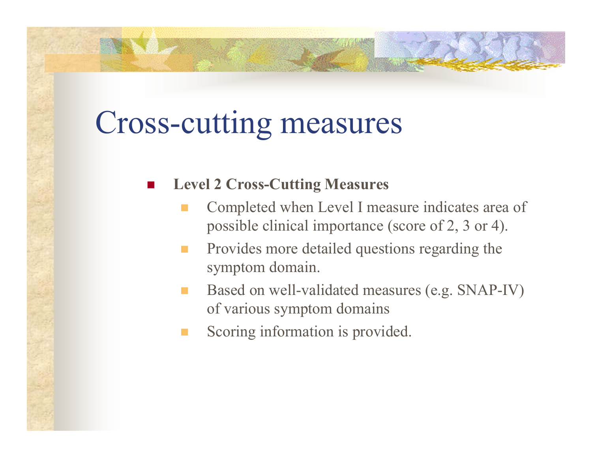## Cross-cutting measures

F

#### **Level 2 Cross-Cutting Measures**

- Completed when Level I measure indicates area of possible clinical importance (score of 2, 3 or 4).
- **COL**  Provides more detailed questions regarding the symptom domain.
- Based on well-validated measures (e.g. SNAP-IV) of various symptom domains
- Scoring information is provided.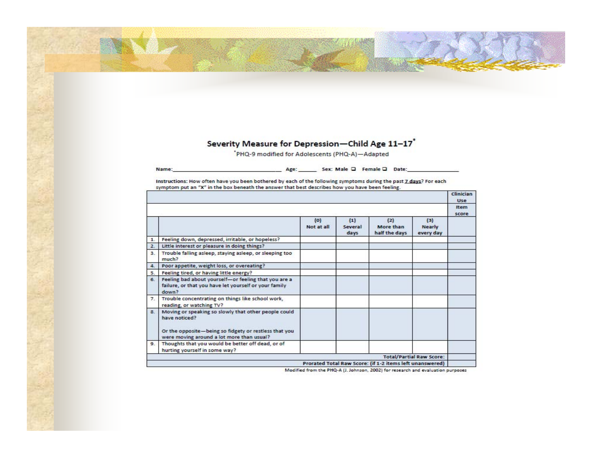#### Severity Measure for Depression-Child Age 11-17\*

'PHQ-9 modified for Adolescents (PHQ-A)-Adapted

Sex: Male Q Female Q Date: Name: Age:

Instructions: How often have you been bothered by each of the following symptoms during the past 7 days? For each symptom put an "X" in the box beneath the answer that best describes how you have been feeling.

|              |                                                                                                                                                                             |                       |                        |                                                          |                                   | <b>Clinician</b><br>Use |
|--------------|-----------------------------------------------------------------------------------------------------------------------------------------------------------------------------|-----------------------|------------------------|----------------------------------------------------------|-----------------------------------|-------------------------|
|              |                                                                                                                                                                             |                       |                        |                                                          |                                   | <b>Item</b><br>score    |
|              |                                                                                                                                                                             | $\{0\}$<br>Not at all | (1)<br>Several<br>days | (2)<br>More than<br>half the days                        | (3)<br><b>Nearly</b><br>every day |                         |
| $\mathbf{1}$ | Feeling down, depressed, irritable, or hopeless?                                                                                                                            |                       |                        |                                                          |                                   |                         |
| 2.           | Little interest or pleasure in doing things?                                                                                                                                |                       |                        |                                                          |                                   |                         |
| 3.           | Trouble falling asleep, staying asleep, or sleeping too<br>much?                                                                                                            |                       |                        |                                                          |                                   |                         |
| 4.           | Poor appetite, weight loss, or overeating?                                                                                                                                  |                       |                        |                                                          |                                   |                         |
| 5.           | Feeling tired, or having little energy?                                                                                                                                     |                       |                        |                                                          |                                   |                         |
| 6.           | Feeling bad about yourself-or feeling that you are a<br>failure, or that you have let yourself or your family<br>down?                                                      |                       |                        |                                                          |                                   |                         |
| 7.           | Trouble concentrating on things like school work,<br>reading, or watching TV?                                                                                               |                       |                        |                                                          |                                   |                         |
| $\mathbf{a}$ | Moving or speaking so slowly that other people could<br>have noticed?<br>Or the opposite-being so fidgety or restless that you<br>were moving around a lot more than usual? |                       |                        |                                                          |                                   |                         |
| 9.           | Thoughts that you would be better off dead, or of<br>hurting yourself in some way?                                                                                          |                       |                        |                                                          |                                   |                         |
|              |                                                                                                                                                                             |                       |                        |                                                          | <b>Total/Partial Raw Score:</b>   |                         |
|              |                                                                                                                                                                             |                       |                        | Prorated Total Raw Score: (if 1-2 items left unanswered) |                                   |                         |

Modified from the PHQ-A (J. Johnson, 2002) for research and evaluation purposes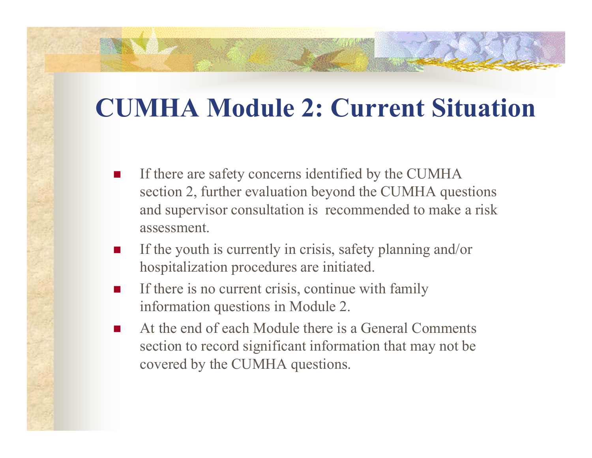#### **CUMHA Module 2: Current Situation**

- F If there are safety concerns identified by the CUMHA section 2, further evaluation beyond the CUMHA questions and supervisor consultation is recommended to make a risk assessment.
- F If the youth is currently in crisis, safety planning and/or hospitalization procedures are initiated.
- $\overline{\phantom{a}}$  If there is no current crisis, continue with family information questions in Module 2.
- $\overline{\phantom{a}}$  At the end of each Module there is a General Comments section to record significant information that may not be covered by the CUMHA questions.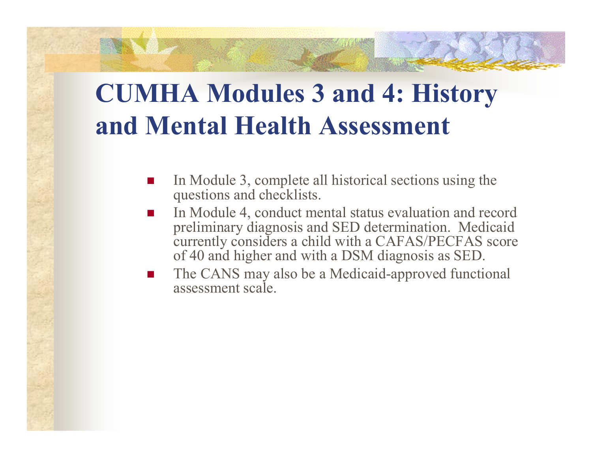#### **CUMHA Modules 3 and 4: History and Mental Health Assessment**

- Π In Module 3, complete all historical sections using the questions and checklists.
- П ■ In Module 4, conduct mental status evaluation and record preliminary diagnosis and SED determination. Medicaid currently considers a child with a CAFAS/PECFAS score of 40 and higher and with a DSM diagnosis as SED.
- Π The CANS may also be a Medicaid-approved functional assessment scale.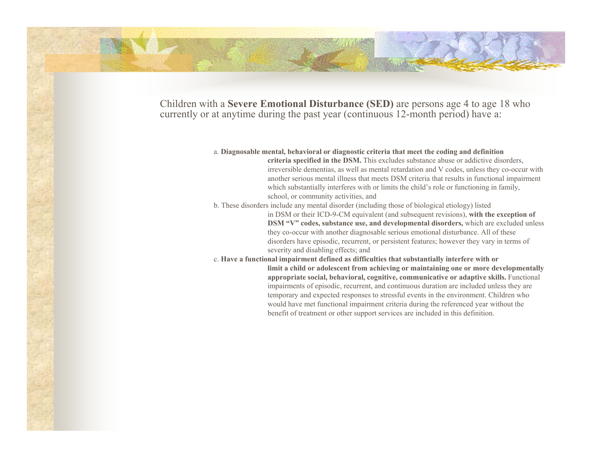Children with a **Severe Emotional Disturbance (SED)** are persons age 4 to age 18 who currently or at anytime during the past year (continuous 12-month period) have a:

#### a. **Diagnosable mental, behavioral or diagnostic criteria that meet the coding and definition criteria specified in the DSM.** This excludes substance abuse or addictive disorders, irreversible dementias, as well as mental retardation and V codes, unless they co-occur with another serious mental illness that meets DSM criteria that results in functional impairment which substantially interferes with or limits the child's role or functioning in family, school, or community activities, and b. These disorders include any mental disorder (including those of biological etiology) listed in DSM or their ICD-9-CM equivalent (and subsequent revisions), **with the exception of DSM "V" codes, substance use, and developmental disorders,** which are excluded unless they co-occur with another diagnosable serious emotional disturbance. All of these disorders have episodic, recurrent, or persistent features; however they vary in terms of severity and disabling effects; and

c. **Have a functional impairment defined as difficulties that substantially interfere with or limit a child or adolescent from achieving or maintaining one or more developmentally appropriate social, behavioral, cognitive, communicative or adaptive skills.** Functional impairments of episodic, recurrent, and continuous duration are included unless they are temporary and expected responses to stressful events in the environment. Children who would have met functional impairment criteria during the referenced year without the benefit of treatment or other support services are included in this definition.